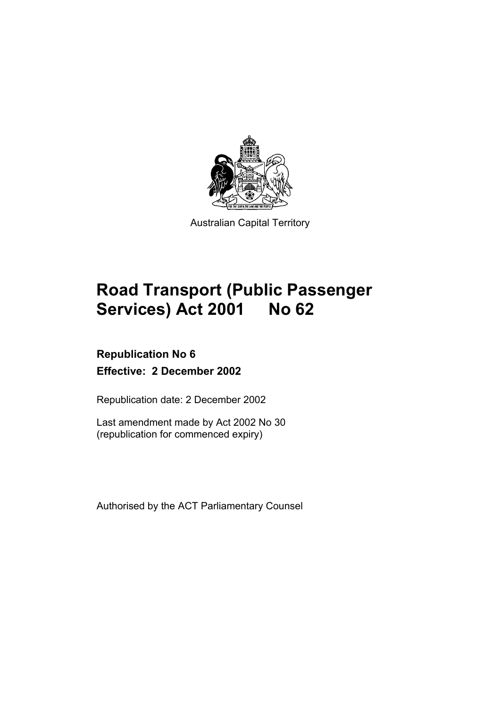

Australian Capital Territory

# **Road Transport (Public Passenger Services) Act 2001 No 62**

### **Republication No 6 Effective: 2 December 2002**

Republication date: 2 December 2002

Last amendment made by Act 2002 No 30 (republication for commenced expiry)

Authorised by the ACT Parliamentary Counsel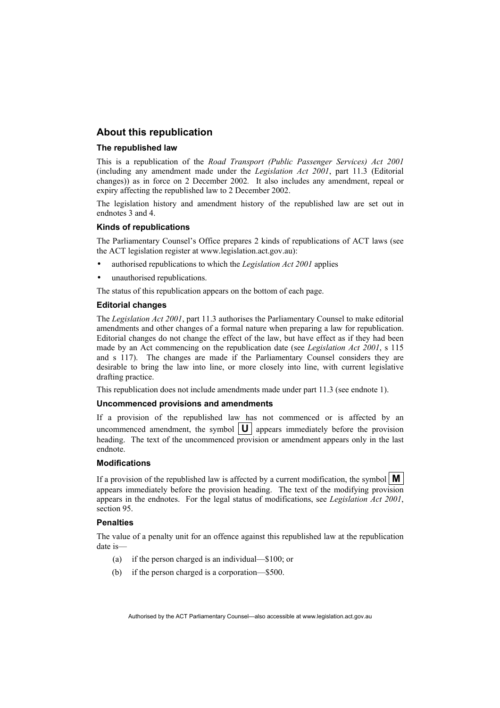#### **About this republication**

#### **The republished law**

This is a republication of the *Road Transport (Public Passenger Services) Act 2001* (including any amendment made under the *Legislation Act 2001*, part 11.3 (Editorial changes)) as in force on 2 December 2002*.* It also includes any amendment, repeal or expiry affecting the republished law to 2 December 2002.

The legislation history and amendment history of the republished law are set out in endnotes 3 and 4.

#### **Kinds of republications**

The Parliamentary Counsel's Office prepares 2 kinds of republications of ACT laws (see the ACT legislation register at www.legislation.act.gov.au):

- authorised republications to which the *Legislation Act 2001* applies
- unauthorised republications.

The status of this republication appears on the bottom of each page.

#### **Editorial changes**

The *Legislation Act 2001*, part 11.3 authorises the Parliamentary Counsel to make editorial amendments and other changes of a formal nature when preparing a law for republication. Editorial changes do not change the effect of the law, but have effect as if they had been made by an Act commencing on the republication date (see *Legislation Act 2001*, s 115 and s 117). The changes are made if the Parliamentary Counsel considers they are desirable to bring the law into line, or more closely into line, with current legislative drafting practice.

This republication does not include amendments made under part 11.3 (see endnote 1).

#### **Uncommenced provisions and amendments**

If a provision of the republished law has not commenced or is affected by an uncommenced amendment, the symbol  $|\mathbf{U}|$  appears immediately before the provision heading. The text of the uncommenced provision or amendment appears only in the last endnote.

#### **Modifications**

If a provision of the republished law is affected by a current modification, the symbol  $\mathbf{M}$ appears immediately before the provision heading. The text of the modifying provision appears in the endnotes. For the legal status of modifications, see *Legislation Act 2001*, section 95.

#### **Penalties**

The value of a penalty unit for an offence against this republished law at the republication date is—

- (a) if the person charged is an individual—\$100; or
- (b) if the person charged is a corporation—\$500.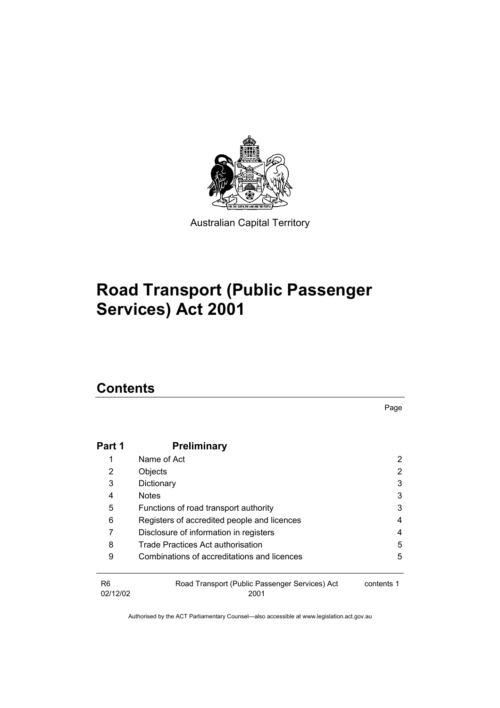

Australian Capital Territory

# **Road Transport (Public Passenger Services) Act 2001**

### **Contents**

Page

| Part 1                     | <b>Preliminary</b>                                     |            |
|----------------------------|--------------------------------------------------------|------------|
|                            | Name of Act                                            | 2          |
| 2                          | Objects                                                | 2          |
| 3                          | Dictionary                                             | 3          |
| 4                          | <b>Notes</b>                                           | 3          |
| 5                          | Functions of road transport authority                  | 3          |
| 6                          | Registers of accredited people and licences            | 4          |
|                            | Disclosure of information in registers                 | 4          |
| 8                          | Trade Practices Act authorisation                      | 5          |
| 9                          | Combinations of accreditations and licences            | 5          |
| R <sub>6</sub><br>02/12/02 | Road Transport (Public Passenger Services) Act<br>2001 | contents 1 |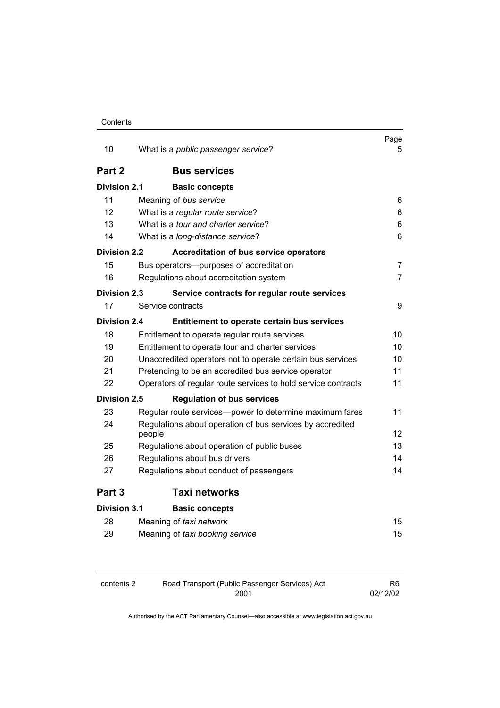| 10                  | What is a <i>public passenger service</i> ?                      | Page<br>5.     |
|---------------------|------------------------------------------------------------------|----------------|
|                     |                                                                  |                |
| Part 2              | <b>Bus services</b>                                              |                |
| <b>Division 2.1</b> | <b>Basic concepts</b>                                            |                |
| 11                  | Meaning of bus service                                           | 6              |
| 12                  | What is a regular route service?                                 | 6              |
| 13                  | What is a <i>tour and charter service</i> ?                      | 6              |
| 14                  | What is a long-distance service?                                 | 6              |
| <b>Division 2.2</b> | <b>Accreditation of bus service operators</b>                    |                |
| 15                  | Bus operators--- purposes of accreditation                       | 7              |
| 16                  | Regulations about accreditation system                           | $\overline{7}$ |
| <b>Division 2.3</b> | Service contracts for regular route services                     |                |
| 17                  | Service contracts                                                | 9              |
| <b>Division 2.4</b> | Entitlement to operate certain bus services                      |                |
| 18                  | Entitlement to operate regular route services                    | 10             |
| 19                  | 10<br>Entitlement to operate tour and charter services           |                |
| 20                  | 10<br>Unaccredited operators not to operate certain bus services |                |
| 21                  | Pretending to be an accredited bus service operator              | 11             |
| 22                  | Operators of regular route services to hold service contracts    | 11             |
| Division 2.5        | <b>Regulation of bus services</b>                                |                |
| 23                  | Regular route services—power to determine maximum fares          | 11             |
| 24                  | Regulations about operation of bus services by accredited        |                |
|                     | people                                                           | 12             |
| 25                  | Regulations about operation of public buses                      | 13             |
| 26                  | Regulations about bus drivers                                    | 14             |
| 27                  | Regulations about conduct of passengers                          | 14             |
| Part 3              | <b>Taxi networks</b>                                             |                |
| Division 3.1        | <b>Basic concepts</b>                                            |                |
| 28                  | Meaning of taxi network                                          | 15             |
| 29                  | Meaning of taxi booking service                                  | 15             |
|                     |                                                                  |                |

| contents 2 | Road Transport (Public Passenger Services) Act | R6.      |
|------------|------------------------------------------------|----------|
|            | 2001                                           | 02/12/02 |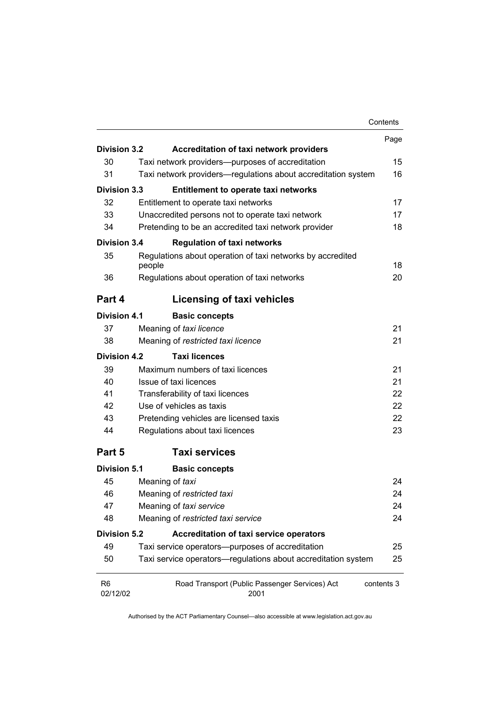|                            |                                                                      | Contents   |
|----------------------------|----------------------------------------------------------------------|------------|
|                            |                                                                      | Page       |
| <b>Division 3.2</b>        | <b>Accreditation of taxi network providers</b>                       |            |
| 30                         | Taxi network providers—purposes of accreditation                     | 15         |
| 31                         | Taxi network providers—regulations about accreditation system        | 16         |
| <b>Division 3.3</b>        | Entitlement to operate taxi networks                                 |            |
| 32                         | Entitlement to operate taxi networks                                 | 17         |
| 33                         | Unaccredited persons not to operate taxi network                     | 17         |
| 34                         | Pretending to be an accredited taxi network provider                 | 18         |
| <b>Division 3.4</b>        | <b>Regulation of taxi networks</b>                                   |            |
| 35                         | Regulations about operation of taxi networks by accredited<br>people | 18         |
| 36                         | Regulations about operation of taxi networks                         | 20         |
| Part 4                     | Licensing of taxi vehicles                                           |            |
| <b>Division 4.1</b>        | <b>Basic concepts</b>                                                |            |
| 37                         | Meaning of taxi licence                                              | 21         |
| 38                         | Meaning of restricted taxi licence                                   | 21         |
| <b>Division 4.2</b>        | <b>Taxi licences</b>                                                 |            |
| 39                         | Maximum numbers of taxi licences                                     | 21         |
| 40                         | Issue of taxi licences<br>21                                         |            |
| 41                         | 22<br>Transferability of taxi licences                               |            |
| 42                         | Use of vehicles as taxis                                             |            |
| 43                         | Pretending vehicles are licensed taxis                               | 22         |
| 44                         | Regulations about taxi licences                                      | 23         |
| Part 5                     | <b>Taxi services</b>                                                 |            |
| <b>Division 5.1</b>        | <b>Basic concepts</b>                                                |            |
| 45                         | Meaning of taxi                                                      | 24         |
| 46                         | Meaning of restricted taxi                                           | 24         |
| 47                         | Meaning of taxi service                                              | 24         |
| 48                         | Meaning of restricted taxi service                                   |            |
| <b>Division 5.2</b>        | Accreditation of taxi service operators                              |            |
| 49                         | Taxi service operators--purposes of accreditation                    | 25         |
| 50                         | Taxi service operators-regulations about accreditation system        | 25         |
| R <sub>6</sub><br>02/12/02 | Road Transport (Public Passenger Services) Act<br>2001               | contents 3 |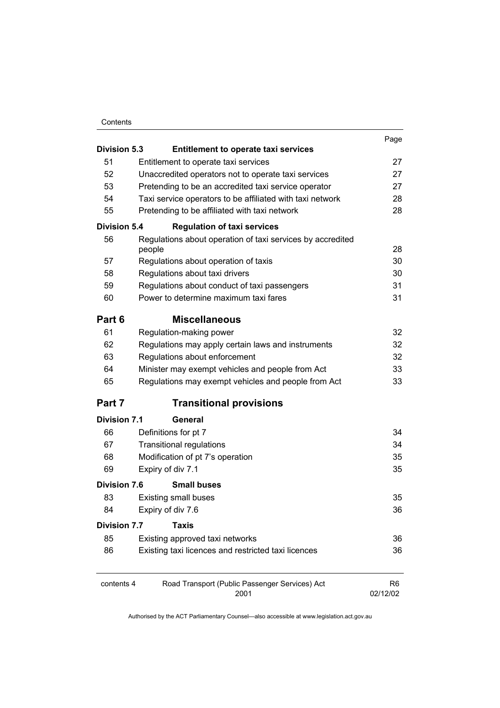#### Contents

|                     |                                                                      | Page           |  |
|---------------------|----------------------------------------------------------------------|----------------|--|
| <b>Division 5.3</b> | <b>Entitlement to operate taxi services</b>                          |                |  |
| 51                  | Entitlement to operate taxi services                                 | 27             |  |
| 52                  | Unaccredited operators not to operate taxi services                  | 27             |  |
| 53                  | Pretending to be an accredited taxi service operator                 | 27             |  |
| 54                  | Taxi service operators to be affiliated with taxi network            | 28             |  |
| 55                  | Pretending to be affiliated with taxi network                        | 28             |  |
| Division 5.4        | <b>Regulation of taxi services</b>                                   |                |  |
| 56                  | Regulations about operation of taxi services by accredited<br>people | 28             |  |
| 57                  | Regulations about operation of taxis                                 | 30             |  |
| 58                  | Regulations about taxi drivers                                       | 30             |  |
| 59                  | Regulations about conduct of taxi passengers                         | 31             |  |
| 60                  | Power to determine maximum taxi fares                                | 31             |  |
| Part 6              | <b>Miscellaneous</b>                                                 |                |  |
| 61                  | Regulation-making power                                              | 32             |  |
| 62                  | Regulations may apply certain laws and instruments                   | 32             |  |
| 63                  | Regulations about enforcement                                        | 32             |  |
| 64                  | Minister may exempt vehicles and people from Act                     | 33             |  |
| 65                  | Regulations may exempt vehicles and people from Act                  | 33             |  |
| Part 7              | <b>Transitional provisions</b>                                       |                |  |
| <b>Division 7.1</b> | <b>General</b>                                                       |                |  |
| 66                  | Definitions for pt 7                                                 | 34             |  |
| 67                  | <b>Transitional regulations</b>                                      | 34             |  |
| 68                  | Modification of pt 7's operation                                     | 35             |  |
| 69                  | Expiry of div 7.1                                                    | 35             |  |
| Division 7.6        | <b>Small buses</b>                                                   |                |  |
| 83                  | <b>Existing small buses</b>                                          | 35             |  |
| 84                  | Expiry of div 7.6                                                    | 36             |  |
| <b>Division 7.7</b> | <b>Taxis</b>                                                         |                |  |
| 85                  | Existing approved taxi networks                                      | 36             |  |
| 86                  | Existing taxi licences and restricted taxi licences                  | 36             |  |
| contents 4          | Road Transport (Public Passenger Services) Act                       | R <sub>6</sub> |  |
|                     | 2001<br>02/12/02                                                     |                |  |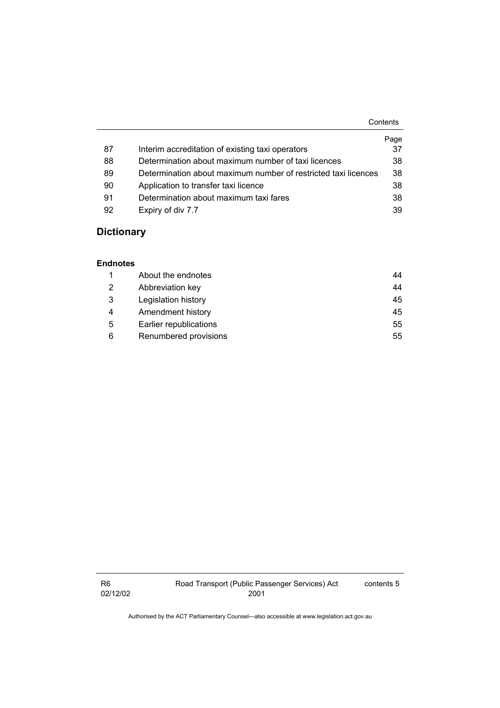|    |                                                                | Contents |
|----|----------------------------------------------------------------|----------|
|    |                                                                | Page     |
| 87 | Interim accreditation of existing taxi operators               | 37       |
| 88 | Determination about maximum number of taxi licences            | 38       |
| 89 | Determination about maximum number of restricted taxi licences | 38       |
| 90 | Application to transfer taxi licence                           | 38       |
| 91 | Determination about maximum taxi fares                         | 38       |
| 92 | Expiry of div 7.7                                              | 39       |

### **Dictionary**

#### **Endnotes**

|   | About the endnotes     | 44 |
|---|------------------------|----|
| 2 | Abbreviation key       | 44 |
| 3 | Legislation history    | 45 |
| 4 | Amendment history      | 45 |
| 5 | Earlier republications | 55 |
| 6 | Renumbered provisions  | 55 |

R6 02/12/02 contents 5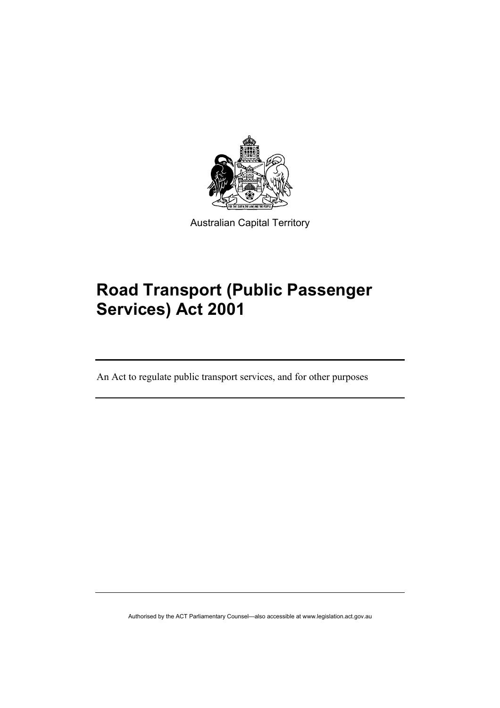

Australian Capital Territory

# **Road Transport (Public Passenger Services) Act 2001**

An Act to regulate public transport services, and for other purposes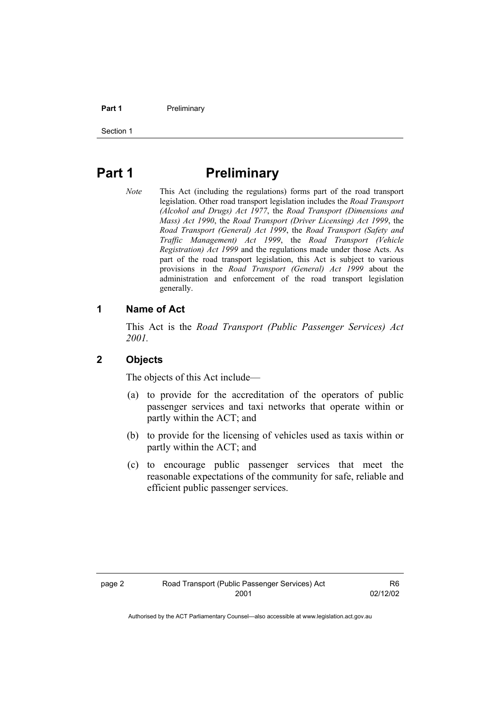#### **Part 1** Preliminary

Section 1

### **Part 1** Preliminary

*Note* This Act (including the regulations) forms part of the road transport legislation. Other road transport legislation includes the *Road Transport (Alcohol and Drugs) Act 1977*, the *Road Transport (Dimensions and Mass) Act 1990*, the *Road Transport (Driver Licensing) Act 1999*, the *Road Transport (General) Act 1999*, the *Road Transport (Safety and Traffic Management) Act 1999*, the *Road Transport (Vehicle Registration) Act 1999* and the regulations made under those Acts. As part of the road transport legislation, this Act is subject to various provisions in the *Road Transport (General) Act 1999* about the administration and enforcement of the road transport legislation generally.

#### **1 Name of Act**

This Act is the *Road Transport (Public Passenger Services) Act 2001.* 

#### **2 Objects**

The objects of this Act include—

- (a) to provide for the accreditation of the operators of public passenger services and taxi networks that operate within or partly within the ACT; and
- (b) to provide for the licensing of vehicles used as taxis within or partly within the ACT; and
- (c) to encourage public passenger services that meet the reasonable expectations of the community for safe, reliable and efficient public passenger services.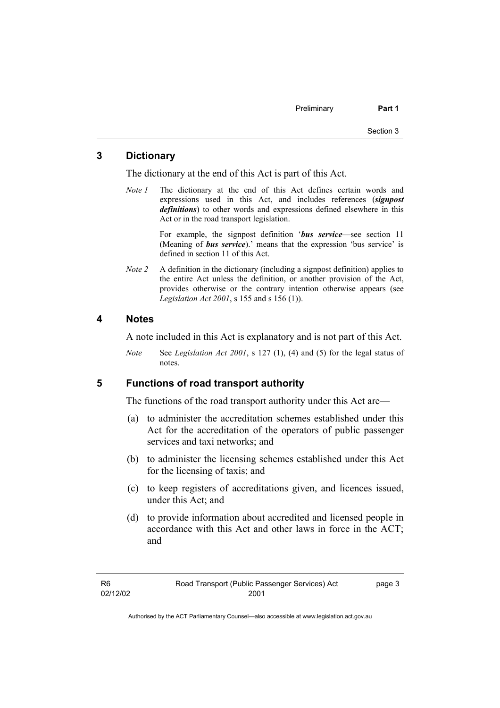#### **3 Dictionary**

The dictionary at the end of this Act is part of this Act.

*Note 1* The dictionary at the end of this Act defines certain words and expressions used in this Act, and includes references (*signpost definitions*) to other words and expressions defined elsewhere in this Act or in the road transport legislation.

> For example, the signpost definition '*bus service*—see section 11 (Meaning of *bus service*).' means that the expression 'bus service' is defined in section 11 of this Act.

*Note 2* A definition in the dictionary (including a signpost definition) applies to the entire Act unless the definition, or another provision of the Act, provides otherwise or the contrary intention otherwise appears (see *Legislation Act 2001*, s 155 and s 156 (1)).

#### **4 Notes**

A note included in this Act is explanatory and is not part of this Act.

*Note* See *Legislation Act 2001*, s 127 (1), (4) and (5) for the legal status of notes.

#### **5 Functions of road transport authority**

The functions of the road transport authority under this Act are—

- (a) to administer the accreditation schemes established under this Act for the accreditation of the operators of public passenger services and taxi networks; and
- (b) to administer the licensing schemes established under this Act for the licensing of taxis; and
- (c) to keep registers of accreditations given, and licences issued, under this Act; and
- (d) to provide information about accredited and licensed people in accordance with this Act and other laws in force in the ACT; and

page 3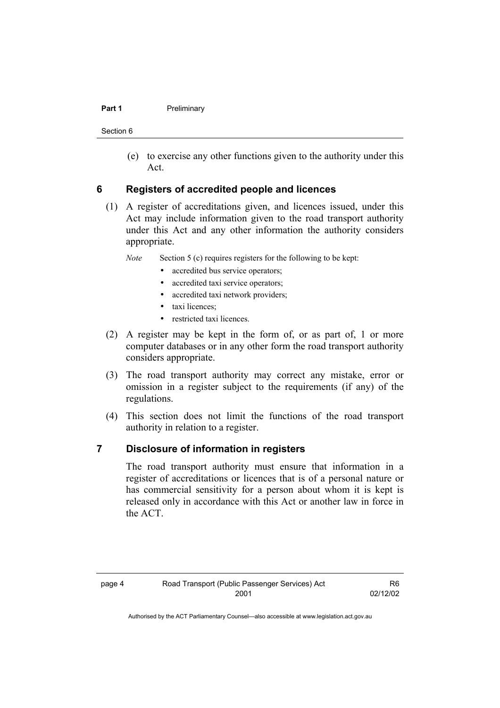#### **Part 1** Preliminary

Section 6

 (e) to exercise any other functions given to the authority under this Act.

#### **6 Registers of accredited people and licences**

 (1) A register of accreditations given, and licences issued, under this Act may include information given to the road transport authority under this Act and any other information the authority considers appropriate.

*Note* Section 5 (c) requires registers for the following to be kept:

- accredited bus service operators;
- accredited taxi service operators;
- accredited taxi network providers;
- taxi licences;
- restricted taxi licences.
- (2) A register may be kept in the form of, or as part of, 1 or more computer databases or in any other form the road transport authority considers appropriate.
- (3) The road transport authority may correct any mistake, error or omission in a register subject to the requirements (if any) of the regulations.
- (4) This section does not limit the functions of the road transport authority in relation to a register.

#### **7 Disclosure of information in registers**

The road transport authority must ensure that information in a register of accreditations or licences that is of a personal nature or has commercial sensitivity for a person about whom it is kept is released only in accordance with this Act or another law in force in the ACT.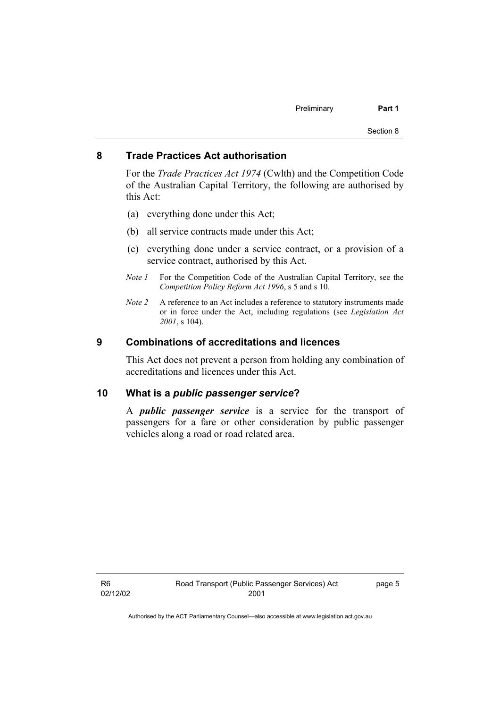#### **8 Trade Practices Act authorisation**

For the *Trade Practices Act 1974* (Cwlth) and the Competition Code of the Australian Capital Territory, the following are authorised by this Act:

- (a) everything done under this Act;
- (b) all service contracts made under this Act;
- (c) everything done under a service contract, or a provision of a service contract, authorised by this Act.
- *Note 1* For the Competition Code of the Australian Capital Territory, see the *Competition Policy Reform Act 1996*, s 5 and s 10.
- *Note 2* A reference to an Act includes a reference to statutory instruments made or in force under the Act, including regulations (see *Legislation Act 2001*, s 104).

#### **9 Combinations of accreditations and licences**

This Act does not prevent a person from holding any combination of accreditations and licences under this Act.

#### **10 What is a** *public passenger service***?**

A *public passenger service* is a service for the transport of passengers for a fare or other consideration by public passenger vehicles along a road or road related area.

page 5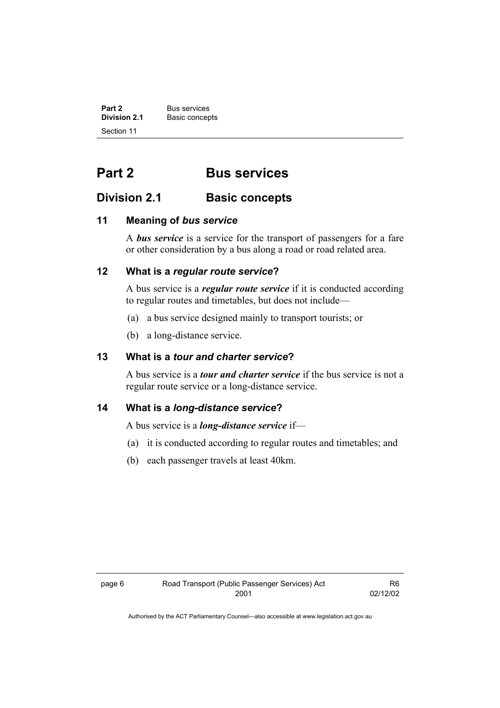**Part 2** Bus services<br> **Division 2.1** Basic concer **Basic concepts** Section 11

### **Part 2 Bus services**

### **Division 2.1 Basic concepts**

#### **11 Meaning of** *bus service*

A *bus service* is a service for the transport of passengers for a fare or other consideration by a bus along a road or road related area.

#### **12 What is a** *regular route service***?**

A bus service is a *regular route service* if it is conducted according to regular routes and timetables, but does not include—

- (a) a bus service designed mainly to transport tourists; or
- (b) a long-distance service.

#### **13 What is a** *tour and charter service***?**

A bus service is a *tour and charter service* if the bus service is not a regular route service or a long-distance service.

#### **14 What is a** *long-distance service***?**

A bus service is a *long-distance service* if—

- (a) it is conducted according to regular routes and timetables; and
- (b) each passenger travels at least 40km.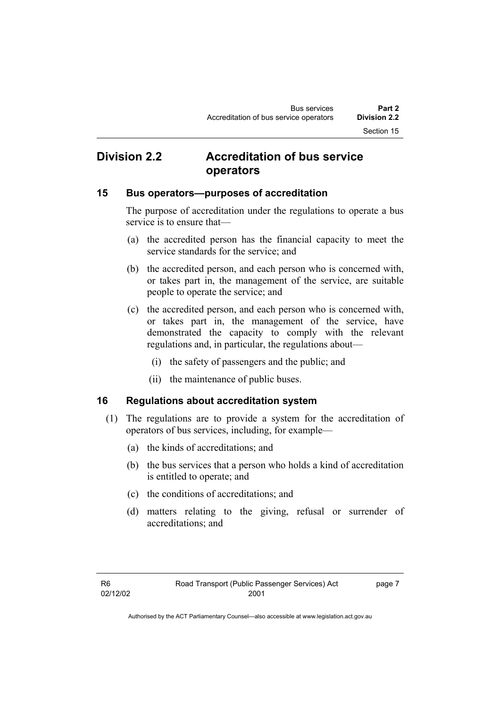### **Division 2.2 Accreditation of bus service operators**

#### **15 Bus operators—purposes of accreditation**

The purpose of accreditation under the regulations to operate a bus service is to ensure that—

- (a) the accredited person has the financial capacity to meet the service standards for the service; and
- (b) the accredited person, and each person who is concerned with, or takes part in, the management of the service, are suitable people to operate the service; and
- (c) the accredited person, and each person who is concerned with, or takes part in, the management of the service, have demonstrated the capacity to comply with the relevant regulations and, in particular, the regulations about—
	- (i) the safety of passengers and the public; and
	- (ii) the maintenance of public buses.

#### **16 Regulations about accreditation system**

- (1) The regulations are to provide a system for the accreditation of operators of bus services, including, for example—
	- (a) the kinds of accreditations; and
	- (b) the bus services that a person who holds a kind of accreditation is entitled to operate; and
	- (c) the conditions of accreditations; and
	- (d) matters relating to the giving, refusal or surrender of accreditations; and

page 7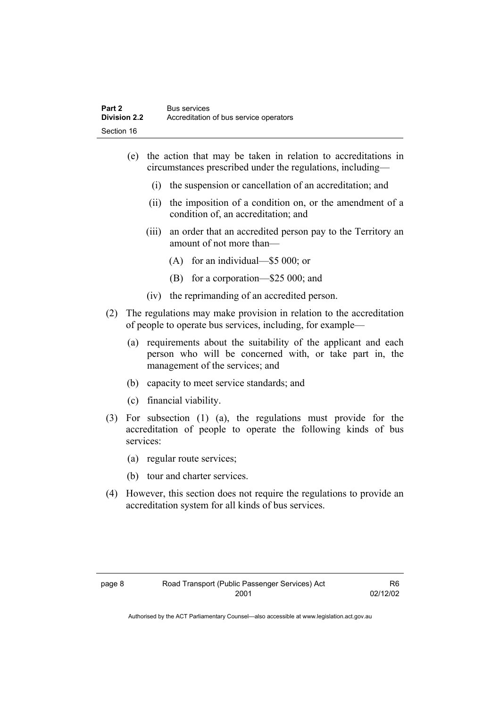- (e) the action that may be taken in relation to accreditations in circumstances prescribed under the regulations, including—
	- (i) the suspension or cancellation of an accreditation; and
	- (ii) the imposition of a condition on, or the amendment of a condition of, an accreditation; and
	- (iii) an order that an accredited person pay to the Territory an amount of not more than—
		- (A) for an individual—\$5 000; or
		- (B) for a corporation—\$25 000; and
	- (iv) the reprimanding of an accredited person.
- (2) The regulations may make provision in relation to the accreditation of people to operate bus services, including, for example—
	- (a) requirements about the suitability of the applicant and each person who will be concerned with, or take part in, the management of the services; and
	- (b) capacity to meet service standards; and
	- (c) financial viability.
- (3) For subsection (1) (a), the regulations must provide for the accreditation of people to operate the following kinds of bus services:
	- (a) regular route services;
	- (b) tour and charter services.
- (4) However, this section does not require the regulations to provide an accreditation system for all kinds of bus services.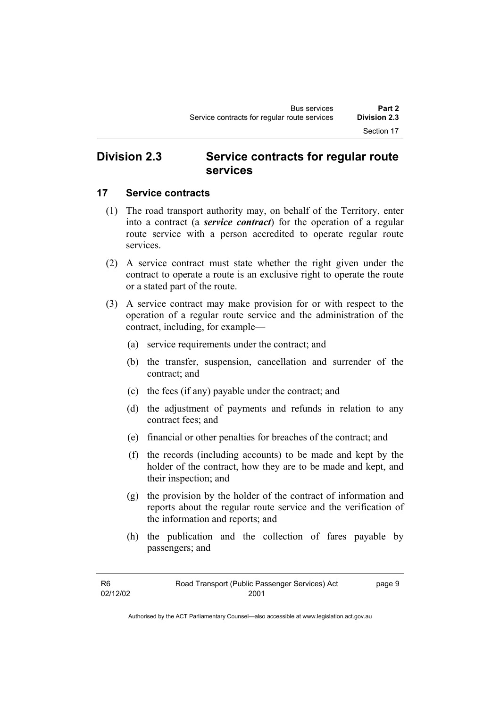### **Division 2.3 Service contracts for regular route services**

#### **17 Service contracts**

- (1) The road transport authority may, on behalf of the Territory, enter into a contract (a *service contract*) for the operation of a regular route service with a person accredited to operate regular route services.
- (2) A service contract must state whether the right given under the contract to operate a route is an exclusive right to operate the route or a stated part of the route.
- (3) A service contract may make provision for or with respect to the operation of a regular route service and the administration of the contract, including, for example—
	- (a) service requirements under the contract; and
	- (b) the transfer, suspension, cancellation and surrender of the contract; and
	- (c) the fees (if any) payable under the contract; and
	- (d) the adjustment of payments and refunds in relation to any contract fees; and
	- (e) financial or other penalties for breaches of the contract; and
	- (f) the records (including accounts) to be made and kept by the holder of the contract, how they are to be made and kept, and their inspection; and
	- (g) the provision by the holder of the contract of information and reports about the regular route service and the verification of the information and reports; and
	- (h) the publication and the collection of fares payable by passengers; and

| R6       | Road Transport (Public Passenger Services) Act | page 9 |
|----------|------------------------------------------------|--------|
| 02/12/02 | 2001                                           |        |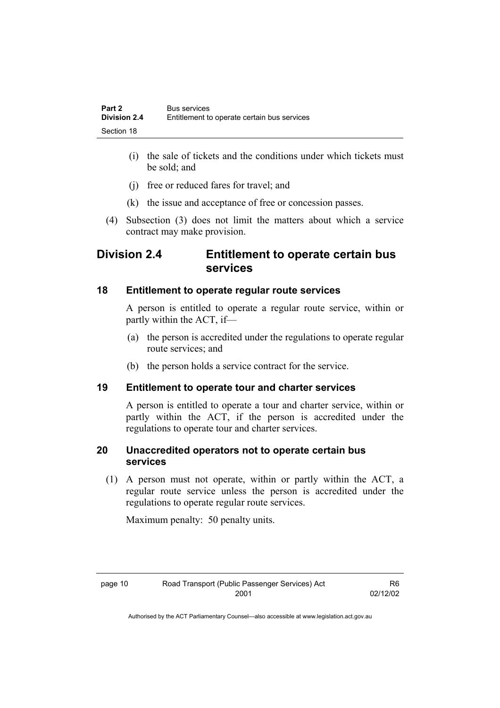- (i) the sale of tickets and the conditions under which tickets must be sold; and
- (j) free or reduced fares for travel; and
- (k) the issue and acceptance of free or concession passes.
- (4) Subsection (3) does not limit the matters about which a service contract may make provision.

### **Division 2.4 Entitlement to operate certain bus services**

#### **18 Entitlement to operate regular route services**

A person is entitled to operate a regular route service, within or partly within the ACT, if—

- (a) the person is accredited under the regulations to operate regular route services; and
- (b) the person holds a service contract for the service.

#### **19 Entitlement to operate tour and charter services**

A person is entitled to operate a tour and charter service, within or partly within the ACT, if the person is accredited under the regulations to operate tour and charter services.

#### **20 Unaccredited operators not to operate certain bus services**

 (1) A person must not operate, within or partly within the ACT, a regular route service unless the person is accredited under the regulations to operate regular route services.

Maximum penalty: 50 penalty units.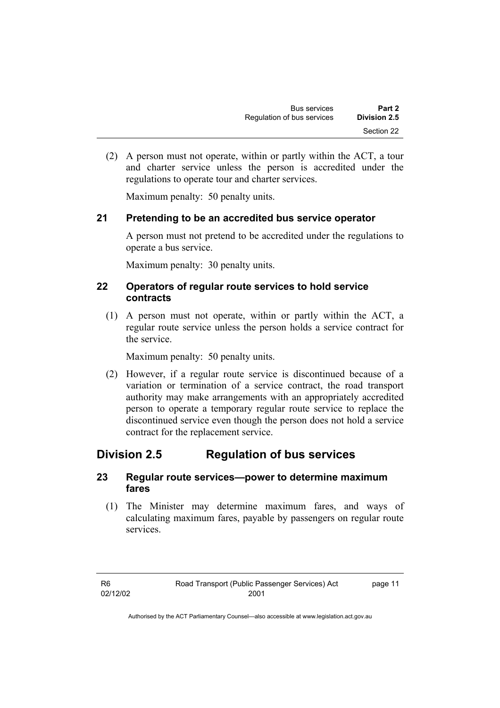(2) A person must not operate, within or partly within the ACT, a tour and charter service unless the person is accredited under the regulations to operate tour and charter services.

Maximum penalty: 50 penalty units.

#### **21 Pretending to be an accredited bus service operator**

A person must not pretend to be accredited under the regulations to operate a bus service.

Maximum penalty: 30 penalty units.

#### **22 Operators of regular route services to hold service contracts**

 (1) A person must not operate, within or partly within the ACT, a regular route service unless the person holds a service contract for the service.

Maximum penalty: 50 penalty units.

 (2) However, if a regular route service is discontinued because of a variation or termination of a service contract, the road transport authority may make arrangements with an appropriately accredited person to operate a temporary regular route service to replace the discontinued service even though the person does not hold a service contract for the replacement service.

### **Division 2.5 Regulation of bus services**

#### **23 Regular route services—power to determine maximum fares**

 (1) The Minister may determine maximum fares, and ways of calculating maximum fares, payable by passengers on regular route services.

page 11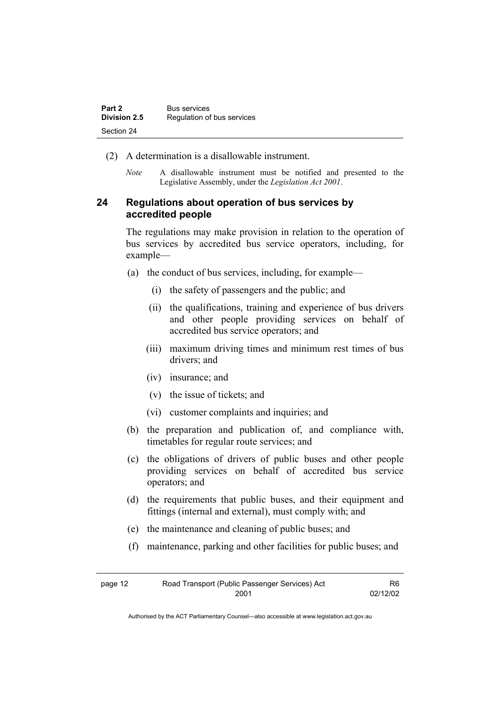| Part 2       | <b>Bus services</b>        |
|--------------|----------------------------|
| Division 2.5 | Regulation of bus services |
| Section 24   |                            |

- (2) A determination is a disallowable instrument.
	- *Note* A disallowable instrument must be notified and presented to the Legislative Assembly, under the *Legislation Act 2001*.

#### **24 Regulations about operation of bus services by accredited people**

The regulations may make provision in relation to the operation of bus services by accredited bus service operators, including, for example—

- (a) the conduct of bus services, including, for example—
	- (i) the safety of passengers and the public; and
	- (ii) the qualifications, training and experience of bus drivers and other people providing services on behalf of accredited bus service operators; and
	- (iii) maximum driving times and minimum rest times of bus drivers; and
	- (iv) insurance; and
	- (v) the issue of tickets; and
	- (vi) customer complaints and inquiries; and
- (b) the preparation and publication of, and compliance with, timetables for regular route services; and
- (c) the obligations of drivers of public buses and other people providing services on behalf of accredited bus service operators; and
- (d) the requirements that public buses, and their equipment and fittings (internal and external), must comply with; and
- (e) the maintenance and cleaning of public buses; and
- (f) maintenance, parking and other facilities for public buses; and

| page 12 | Road Transport (Public Passenger Services) Act | R6.      |
|---------|------------------------------------------------|----------|
|         | 2001                                           | 02/12/02 |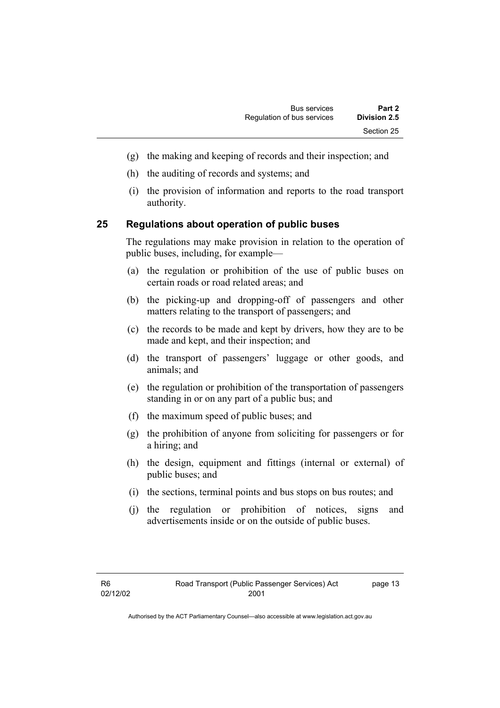- (g) the making and keeping of records and their inspection; and
- (h) the auditing of records and systems; and
- (i) the provision of information and reports to the road transport authority.

#### **25 Regulations about operation of public buses**

The regulations may make provision in relation to the operation of public buses, including, for example—

- (a) the regulation or prohibition of the use of public buses on certain roads or road related areas; and
- (b) the picking-up and dropping-off of passengers and other matters relating to the transport of passengers; and
- (c) the records to be made and kept by drivers, how they are to be made and kept, and their inspection; and
- (d) the transport of passengers' luggage or other goods, and animals; and
- (e) the regulation or prohibition of the transportation of passengers standing in or on any part of a public bus; and
- (f) the maximum speed of public buses; and
- (g) the prohibition of anyone from soliciting for passengers or for a hiring; and
- (h) the design, equipment and fittings (internal or external) of public buses; and
- (i) the sections, terminal points and bus stops on bus routes; and
- (j) the regulation or prohibition of notices, signs and advertisements inside or on the outside of public buses.

page 13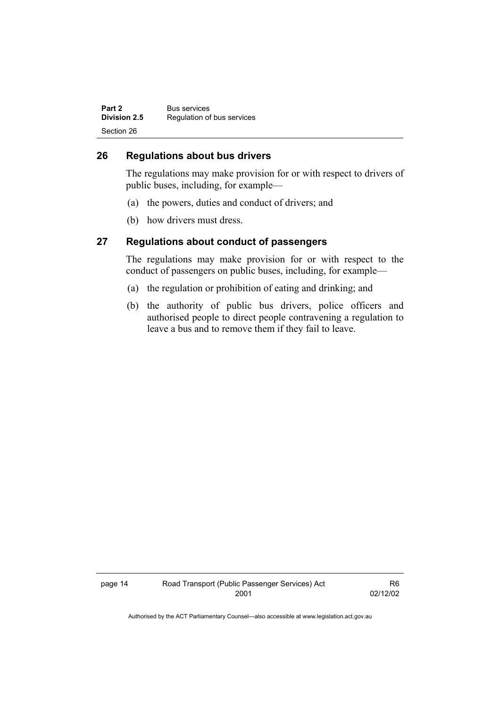| Part 2       | <b>Bus services</b>        |
|--------------|----------------------------|
| Division 2.5 | Regulation of bus services |
| Section 26   |                            |

#### **26 Regulations about bus drivers**

The regulations may make provision for or with respect to drivers of public buses, including, for example—

- (a) the powers, duties and conduct of drivers; and
- (b) how drivers must dress.

#### **27 Regulations about conduct of passengers**

The regulations may make provision for or with respect to the conduct of passengers on public buses, including, for example—

- (a) the regulation or prohibition of eating and drinking; and
- (b) the authority of public bus drivers, police officers and authorised people to direct people contravening a regulation to leave a bus and to remove them if they fail to leave.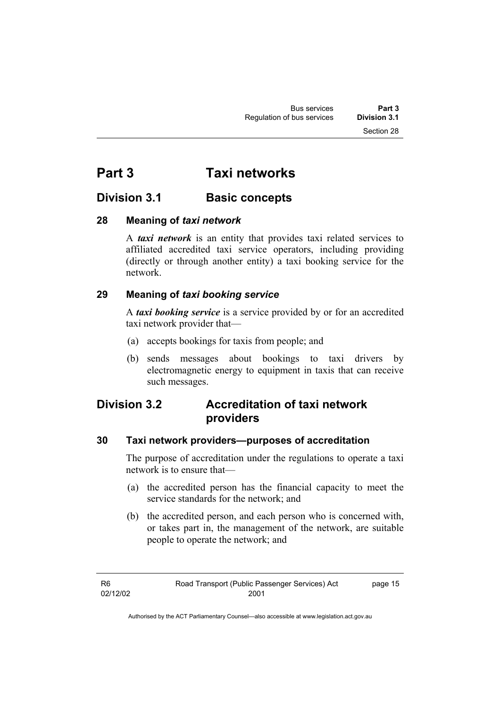### **Part 3 Taxi networks**

### **Division 3.1** Basic concepts

#### **28 Meaning of** *taxi network*

A *taxi network* is an entity that provides taxi related services to affiliated accredited taxi service operators, including providing (directly or through another entity) a taxi booking service for the network.

#### **29 Meaning of** *taxi booking service*

A *taxi booking service* is a service provided by or for an accredited taxi network provider that—

- (a) accepts bookings for taxis from people; and
- (b) sends messages about bookings to taxi drivers by electromagnetic energy to equipment in taxis that can receive such messages.

### **Division 3.2 Accreditation of taxi network providers**

#### **30 Taxi network providers—purposes of accreditation**

The purpose of accreditation under the regulations to operate a taxi network is to ensure that—

- (a) the accredited person has the financial capacity to meet the service standards for the network; and
- (b) the accredited person, and each person who is concerned with, or takes part in, the management of the network, are suitable people to operate the network; and

page 15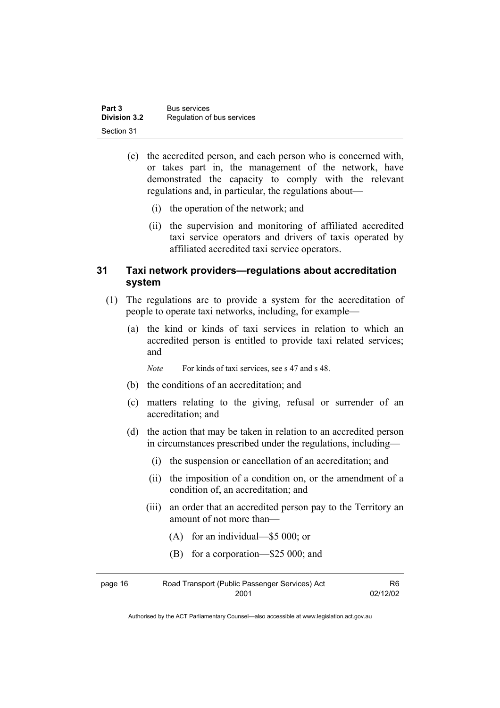| Part 3              | <b>Bus services</b>        |
|---------------------|----------------------------|
| <b>Division 3.2</b> | Regulation of bus services |
| Section 31          |                            |

- (c) the accredited person, and each person who is concerned with, or takes part in, the management of the network, have demonstrated the capacity to comply with the relevant regulations and, in particular, the regulations about—
	- (i) the operation of the network; and
	- (ii) the supervision and monitoring of affiliated accredited taxi service operators and drivers of taxis operated by affiliated accredited taxi service operators.

#### **31 Taxi network providers—regulations about accreditation system**

- (1) The regulations are to provide a system for the accreditation of people to operate taxi networks, including, for example—
	- (a) the kind or kinds of taxi services in relation to which an accredited person is entitled to provide taxi related services; and

*Note* For kinds of taxi services, see s 47 and s 48.

- (b) the conditions of an accreditation; and
- (c) matters relating to the giving, refusal or surrender of an accreditation; and
- (d) the action that may be taken in relation to an accredited person in circumstances prescribed under the regulations, including—
	- (i) the suspension or cancellation of an accreditation; and
	- (ii) the imposition of a condition on, or the amendment of a condition of, an accreditation; and
	- (iii) an order that an accredited person pay to the Territory an amount of not more than—
		- (A) for an individual—\$5 000; or
		- (B) for a corporation—\$25 000; and

| page 16 | Road Transport (Public Passenger Services) Act |          |
|---------|------------------------------------------------|----------|
|         | 2001                                           | 02/12/02 |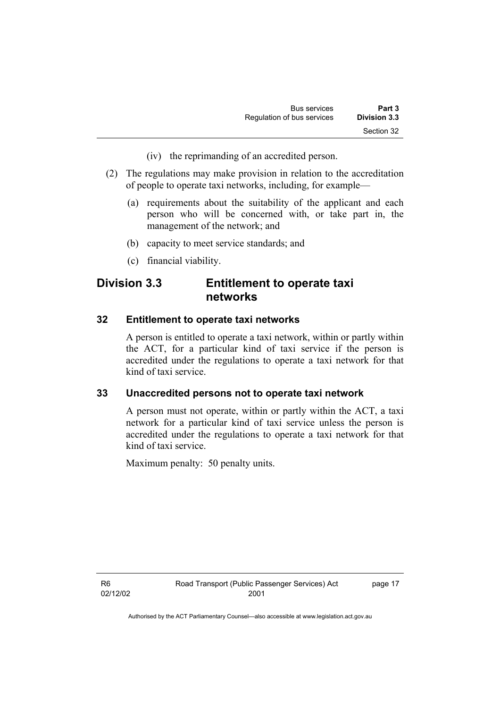- (iv) the reprimanding of an accredited person.
- (2) The regulations may make provision in relation to the accreditation of people to operate taxi networks, including, for example—
	- (a) requirements about the suitability of the applicant and each person who will be concerned with, or take part in, the management of the network; and
	- (b) capacity to meet service standards; and
	- (c) financial viability.

### **Division 3.3 Entitlement to operate taxi networks**

#### **32 Entitlement to operate taxi networks**

A person is entitled to operate a taxi network, within or partly within the ACT, for a particular kind of taxi service if the person is accredited under the regulations to operate a taxi network for that kind of taxi service.

#### **33 Unaccredited persons not to operate taxi network**

A person must not operate, within or partly within the ACT, a taxi network for a particular kind of taxi service unless the person is accredited under the regulations to operate a taxi network for that kind of taxi service.

Maximum penalty: 50 penalty units.

R6 02/12/02 page 17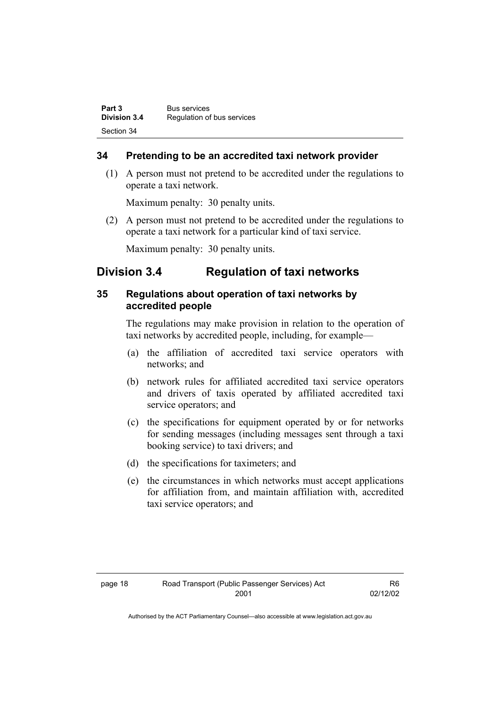| Part 3       | <b>Bus services</b>        |
|--------------|----------------------------|
| Division 3.4 | Regulation of bus services |
| Section 34   |                            |

#### **34 Pretending to be an accredited taxi network provider**

 (1) A person must not pretend to be accredited under the regulations to operate a taxi network.

Maximum penalty: 30 penalty units.

 (2) A person must not pretend to be accredited under the regulations to operate a taxi network for a particular kind of taxi service.

Maximum penalty: 30 penalty units.

### **Division 3.4 Regulation of taxi networks**

#### **35 Regulations about operation of taxi networks by accredited people**

The regulations may make provision in relation to the operation of taxi networks by accredited people, including, for example—

- (a) the affiliation of accredited taxi service operators with networks; and
- (b) network rules for affiliated accredited taxi service operators and drivers of taxis operated by affiliated accredited taxi service operators; and
- (c) the specifications for equipment operated by or for networks for sending messages (including messages sent through a taxi booking service) to taxi drivers; and
- (d) the specifications for taximeters; and
- (e) the circumstances in which networks must accept applications for affiliation from, and maintain affiliation with, accredited taxi service operators; and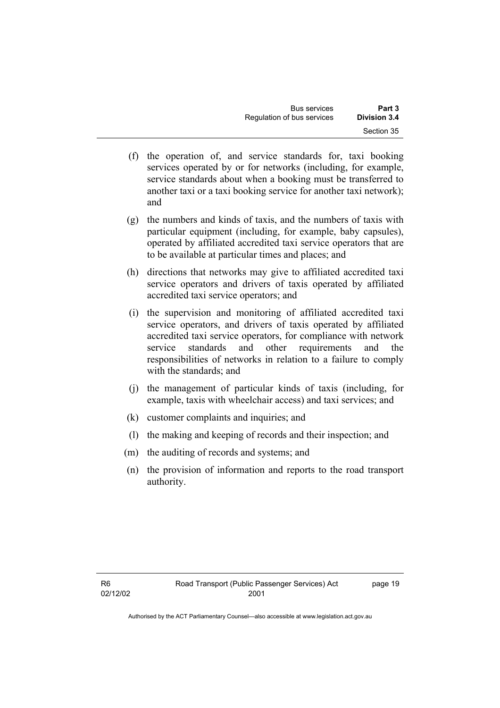- (f) the operation of, and service standards for, taxi booking services operated by or for networks (including, for example, service standards about when a booking must be transferred to another taxi or a taxi booking service for another taxi network); and
- (g) the numbers and kinds of taxis, and the numbers of taxis with particular equipment (including, for example, baby capsules), operated by affiliated accredited taxi service operators that are to be available at particular times and places; and
- (h) directions that networks may give to affiliated accredited taxi service operators and drivers of taxis operated by affiliated accredited taxi service operators; and
- (i) the supervision and monitoring of affiliated accredited taxi service operators, and drivers of taxis operated by affiliated accredited taxi service operators, for compliance with network service standards and other requirements and the responsibilities of networks in relation to a failure to comply with the standards; and
- (j) the management of particular kinds of taxis (including, for example, taxis with wheelchair access) and taxi services; and
- (k) customer complaints and inquiries; and
- (l) the making and keeping of records and their inspection; and
- (m) the auditing of records and systems; and
- (n) the provision of information and reports to the road transport authority.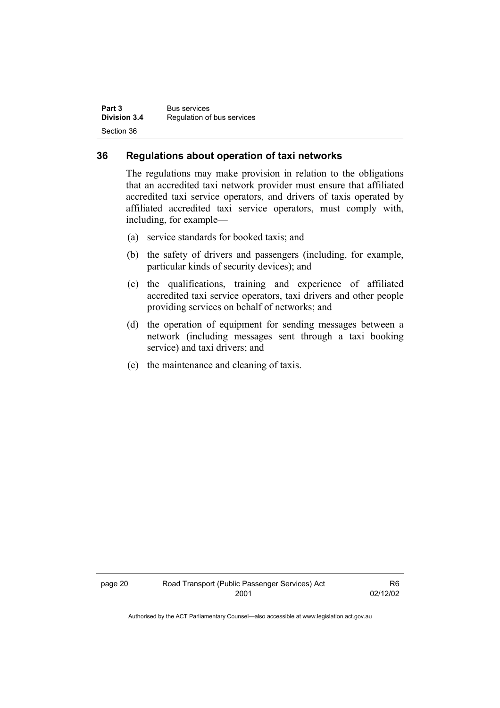| Part 3              | <b>Bus services</b>        |
|---------------------|----------------------------|
| <b>Division 3.4</b> | Regulation of bus services |
| Section 36          |                            |

#### **36 Regulations about operation of taxi networks**

The regulations may make provision in relation to the obligations that an accredited taxi network provider must ensure that affiliated accredited taxi service operators, and drivers of taxis operated by affiliated accredited taxi service operators, must comply with, including, for example—

- (a) service standards for booked taxis; and
- (b) the safety of drivers and passengers (including, for example, particular kinds of security devices); and
- (c) the qualifications, training and experience of affiliated accredited taxi service operators, taxi drivers and other people providing services on behalf of networks; and
- (d) the operation of equipment for sending messages between a network (including messages sent through a taxi booking service) and taxi drivers; and
- (e) the maintenance and cleaning of taxis.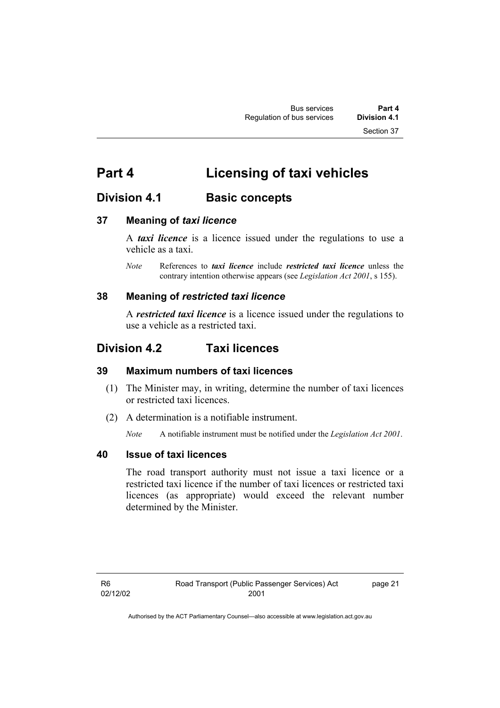### **Part 4 Licensing of taxi vehicles**

### **Division 4.1 Basic concepts**

#### **37 Meaning of** *taxi licence*

A *taxi licence* is a licence issued under the regulations to use a vehicle as a taxi.

*Note* References to *taxi licence* include *restricted taxi licence* unless the contrary intention otherwise appears (see *Legislation Act 2001*, s 155).

#### **38 Meaning of** *restricted taxi licence*

A *restricted taxi licence* is a licence issued under the regulations to use a vehicle as a restricted taxi.

### **Division 4.2 Taxi licences**

#### **39 Maximum numbers of taxi licences**

- (1) The Minister may, in writing, determine the number of taxi licences or restricted taxi licences.
- (2) A determination is a notifiable instrument.

*Note* A notifiable instrument must be notified under the *Legislation Act 2001*.

#### **40 Issue of taxi licences**

The road transport authority must not issue a taxi licence or a restricted taxi licence if the number of taxi licences or restricted taxi licences (as appropriate) would exceed the relevant number determined by the Minister.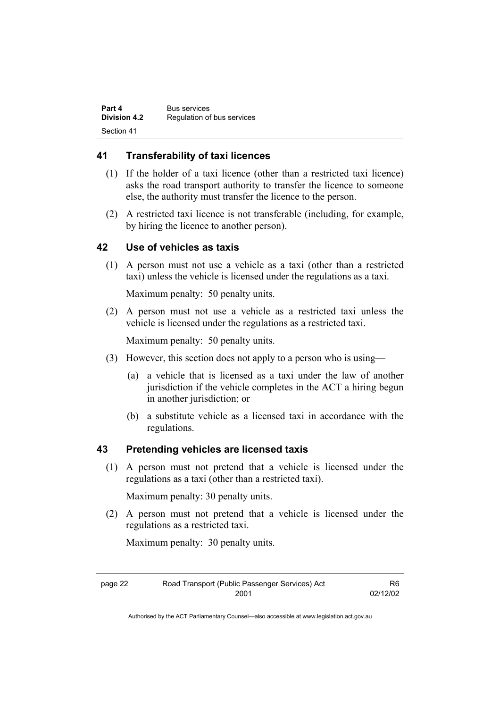| Part 4              | <b>Bus services</b>        |
|---------------------|----------------------------|
| <b>Division 4.2</b> | Regulation of bus services |
| Section 41          |                            |

#### **41 Transferability of taxi licences**

- (1) If the holder of a taxi licence (other than a restricted taxi licence) asks the road transport authority to transfer the licence to someone else, the authority must transfer the licence to the person.
- (2) A restricted taxi licence is not transferable (including, for example, by hiring the licence to another person).

#### **42 Use of vehicles as taxis**

 (1) A person must not use a vehicle as a taxi (other than a restricted taxi) unless the vehicle is licensed under the regulations as a taxi.

Maximum penalty: 50 penalty units.

 (2) A person must not use a vehicle as a restricted taxi unless the vehicle is licensed under the regulations as a restricted taxi.

Maximum penalty: 50 penalty units.

- (3) However, this section does not apply to a person who is using—
	- (a) a vehicle that is licensed as a taxi under the law of another jurisdiction if the vehicle completes in the ACT a hiring begun in another jurisdiction; or
	- (b) a substitute vehicle as a licensed taxi in accordance with the regulations.

#### **43 Pretending vehicles are licensed taxis**

 (1) A person must not pretend that a vehicle is licensed under the regulations as a taxi (other than a restricted taxi).

Maximum penalty: 30 penalty units.

 (2) A person must not pretend that a vehicle is licensed under the regulations as a restricted taxi.

Maximum penalty: 30 penalty units.

| page 22 | Road Transport (Public Passenger Services) Act | R6       |
|---------|------------------------------------------------|----------|
|         | 2001                                           | 02/12/02 |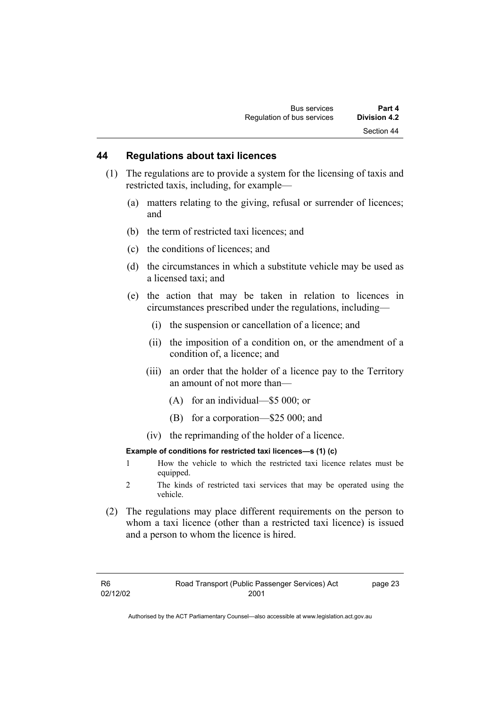#### **44 Regulations about taxi licences**

- (1) The regulations are to provide a system for the licensing of taxis and restricted taxis, including, for example—
	- (a) matters relating to the giving, refusal or surrender of licences; and
	- (b) the term of restricted taxi licences; and
	- (c) the conditions of licences; and
	- (d) the circumstances in which a substitute vehicle may be used as a licensed taxi; and
	- (e) the action that may be taken in relation to licences in circumstances prescribed under the regulations, including—
		- (i) the suspension or cancellation of a licence; and
		- (ii) the imposition of a condition on, or the amendment of a condition of, a licence; and
		- (iii) an order that the holder of a licence pay to the Territory an amount of not more than—
			- (A) for an individual—\$5 000; or
			- (B) for a corporation—\$25 000; and
		- (iv) the reprimanding of the holder of a licence.

#### **Example of conditions for restricted taxi licences—s (1) (c)**

- 1 How the vehicle to which the restricted taxi licence relates must be equipped.
- 2 The kinds of restricted taxi services that may be operated using the vehicle.
- (2) The regulations may place different requirements on the person to whom a taxi licence (other than a restricted taxi licence) is issued and a person to whom the licence is hired.

page 23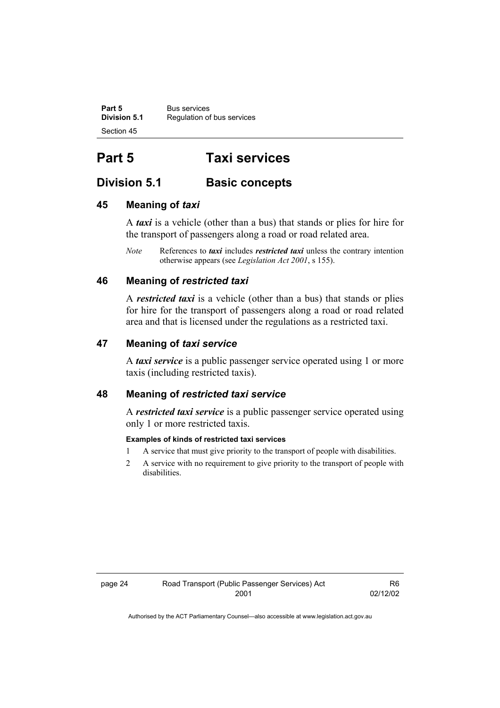**Part 5 Bus services**<br>**Division 5.1 Regulation of Division 5.1** Regulation of bus services Section 45

## **Part 5 Taxi services**

### **Division 5.1 Basic concepts**

#### **45 Meaning of** *taxi*

A *taxi* is a vehicle (other than a bus) that stands or plies for hire for the transport of passengers along a road or road related area.

*Note* References to *taxi* includes *restricted taxi* unless the contrary intention otherwise appears (see *Legislation Act 2001*, s 155).

#### **46 Meaning of** *restricted taxi*

A *restricted taxi* is a vehicle (other than a bus) that stands or plies for hire for the transport of passengers along a road or road related area and that is licensed under the regulations as a restricted taxi.

#### **47 Meaning of** *taxi service*

A *taxi service* is a public passenger service operated using 1 or more taxis (including restricted taxis).

#### **48 Meaning of** *restricted taxi service*

A *restricted taxi service* is a public passenger service operated using only 1 or more restricted taxis.

#### **Examples of kinds of restricted taxi services**

- 1 A service that must give priority to the transport of people with disabilities.
- 2 A service with no requirement to give priority to the transport of people with disabilities.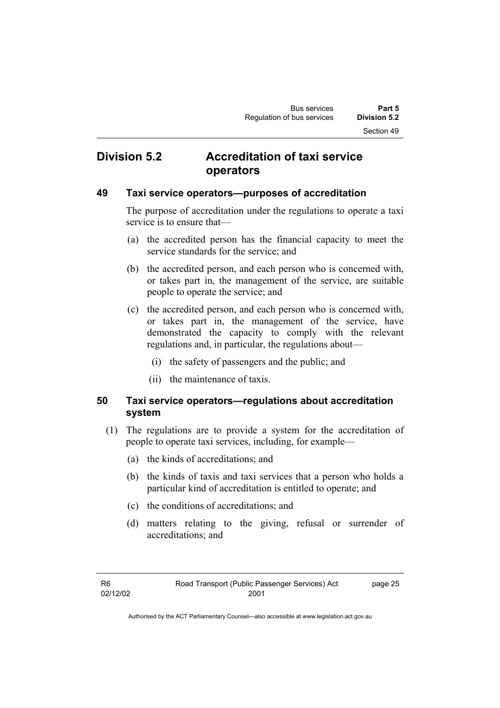### **Division 5.2 Accreditation of taxi service operators**

#### **49 Taxi service operators—purposes of accreditation**

The purpose of accreditation under the regulations to operate a taxi service is to ensure that—

- (a) the accredited person has the financial capacity to meet the service standards for the service; and
- (b) the accredited person, and each person who is concerned with, or takes part in, the management of the service, are suitable people to operate the service; and
- (c) the accredited person, and each person who is concerned with, or takes part in, the management of the service, have demonstrated the capacity to comply with the relevant regulations and, in particular, the regulations about—
	- (i) the safety of passengers and the public; and
	- (ii) the maintenance of taxis.

### **50 Taxi service operators—regulations about accreditation system**

- (1) The regulations are to provide a system for the accreditation of people to operate taxi services, including, for example—
	- (a) the kinds of accreditations; and
	- (b) the kinds of taxis and taxi services that a person who holds a particular kind of accreditation is entitled to operate; and
	- (c) the conditions of accreditations; and
	- (d) matters relating to the giving, refusal or surrender of accreditations; and

page 25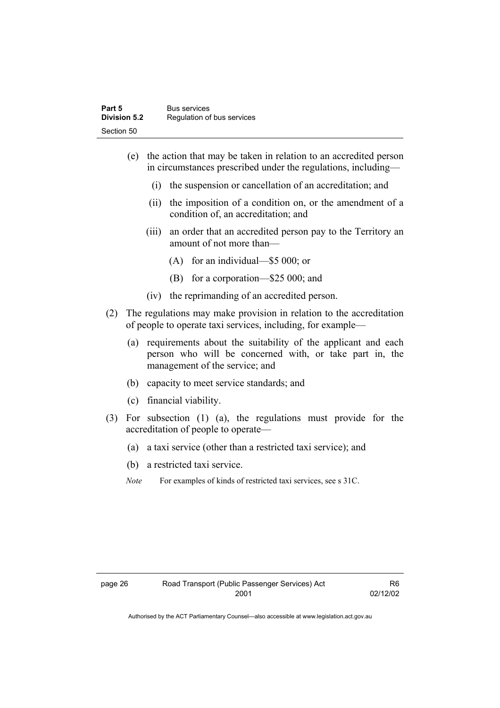| Part 5              | <b>Bus services</b>        |
|---------------------|----------------------------|
| <b>Division 5.2</b> | Regulation of bus services |
| Section 50          |                            |

- (e) the action that may be taken in relation to an accredited person in circumstances prescribed under the regulations, including—
	- (i) the suspension or cancellation of an accreditation; and
	- (ii) the imposition of a condition on, or the amendment of a condition of, an accreditation; and
	- (iii) an order that an accredited person pay to the Territory an amount of not more than—
		- (A) for an individual—\$5 000; or
		- (B) for a corporation—\$25 000; and
	- (iv) the reprimanding of an accredited person.
- (2) The regulations may make provision in relation to the accreditation of people to operate taxi services, including, for example—
	- (a) requirements about the suitability of the applicant and each person who will be concerned with, or take part in, the management of the service; and
	- (b) capacity to meet service standards; and
	- (c) financial viability.
- (3) For subsection (1) (a), the regulations must provide for the accreditation of people to operate—
	- (a) a taxi service (other than a restricted taxi service); and
	- (b) a restricted taxi service.
	- *Note* For examples of kinds of restricted taxi services, see s 31C.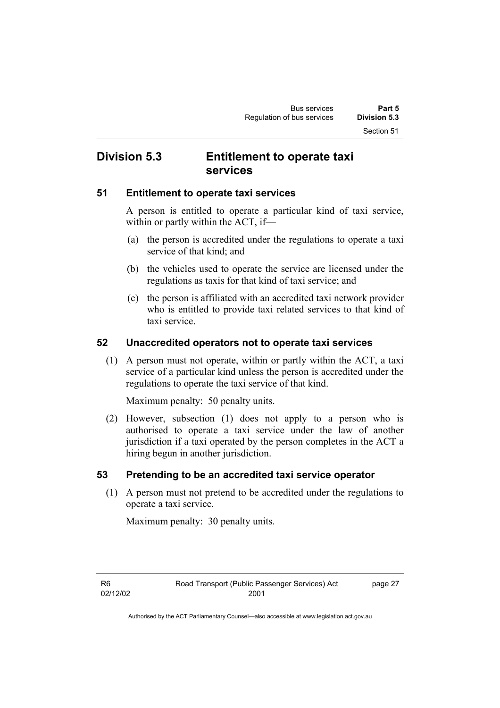### **Division 5.3 Entitlement to operate taxi services**

#### **51 Entitlement to operate taxi services**

A person is entitled to operate a particular kind of taxi service, within or partly within the ACT, if—

- (a) the person is accredited under the regulations to operate a taxi service of that kind; and
- (b) the vehicles used to operate the service are licensed under the regulations as taxis for that kind of taxi service; and
- (c) the person is affiliated with an accredited taxi network provider who is entitled to provide taxi related services to that kind of taxi service.

#### **52 Unaccredited operators not to operate taxi services**

 (1) A person must not operate, within or partly within the ACT, a taxi service of a particular kind unless the person is accredited under the regulations to operate the taxi service of that kind.

Maximum penalty: 50 penalty units.

 (2) However, subsection (1) does not apply to a person who is authorised to operate a taxi service under the law of another jurisdiction if a taxi operated by the person completes in the ACT a hiring begun in another jurisdiction.

#### **53 Pretending to be an accredited taxi service operator**

 (1) A person must not pretend to be accredited under the regulations to operate a taxi service.

Maximum penalty: 30 penalty units.

page 27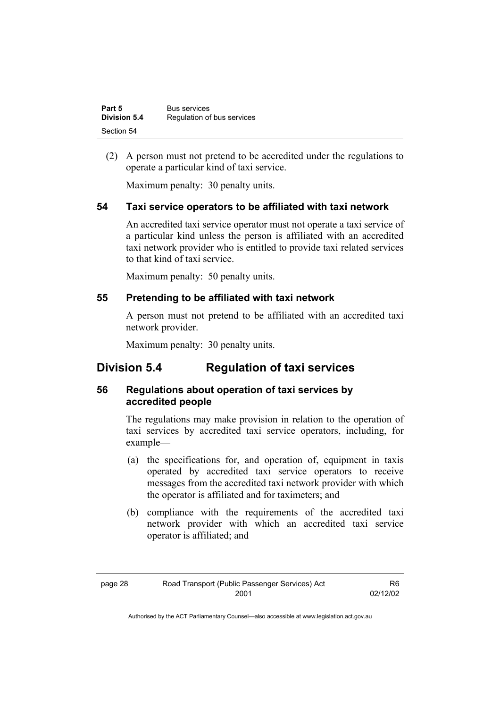| Part 5       | <b>Bus services</b>        |
|--------------|----------------------------|
| Division 5.4 | Regulation of bus services |
| Section 54   |                            |

 (2) A person must not pretend to be accredited under the regulations to operate a particular kind of taxi service.

Maximum penalty: 30 penalty units.

#### **54 Taxi service operators to be affiliated with taxi network**

An accredited taxi service operator must not operate a taxi service of a particular kind unless the person is affiliated with an accredited taxi network provider who is entitled to provide taxi related services to that kind of taxi service.

Maximum penalty: 50 penalty units.

#### **55 Pretending to be affiliated with taxi network**

A person must not pretend to be affiliated with an accredited taxi network provider.

Maximum penalty: 30 penalty units.

### **Division 5.4 Regulation of taxi services**

#### **56 Regulations about operation of taxi services by accredited people**

The regulations may make provision in relation to the operation of taxi services by accredited taxi service operators, including, for example—

- (a) the specifications for, and operation of, equipment in taxis operated by accredited taxi service operators to receive messages from the accredited taxi network provider with which the operator is affiliated and for taximeters; and
- (b) compliance with the requirements of the accredited taxi network provider with which an accredited taxi service operator is affiliated; and

| . .<br>× | × |
|----------|---|
|----------|---|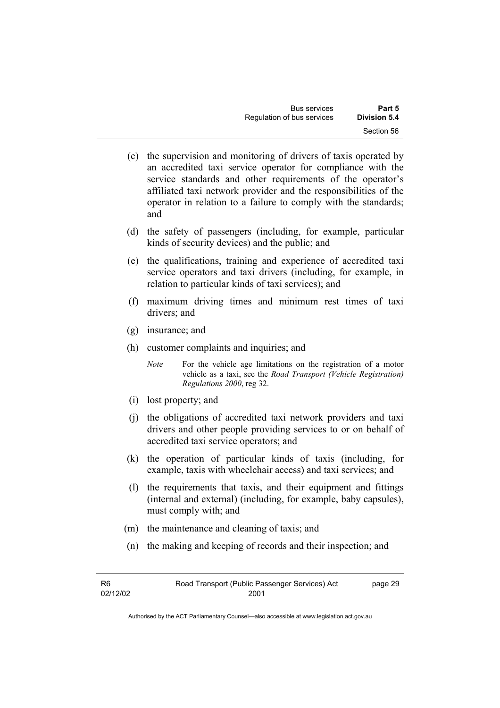| <b>Bus services</b>        | Part 5       |
|----------------------------|--------------|
| Regulation of bus services | Division 5.4 |
|                            | Section 56   |

- (c) the supervision and monitoring of drivers of taxis operated by an accredited taxi service operator for compliance with the service standards and other requirements of the operator's affiliated taxi network provider and the responsibilities of the operator in relation to a failure to comply with the standards; and
- (d) the safety of passengers (including, for example, particular kinds of security devices) and the public; and
- (e) the qualifications, training and experience of accredited taxi service operators and taxi drivers (including, for example, in relation to particular kinds of taxi services); and
- (f) maximum driving times and minimum rest times of taxi drivers; and
- (g) insurance; and
- (h) customer complaints and inquiries; and

*Note* For the vehicle age limitations on the registration of a motor vehicle as a taxi, see the *Road Transport (Vehicle Registration) Regulations 2000*, reg 32.

- (i) lost property; and
- (j) the obligations of accredited taxi network providers and taxi drivers and other people providing services to or on behalf of accredited taxi service operators; and
- (k) the operation of particular kinds of taxis (including, for example, taxis with wheelchair access) and taxi services; and
- (l) the requirements that taxis, and their equipment and fittings (internal and external) (including, for example, baby capsules), must comply with; and
- (m) the maintenance and cleaning of taxis; and
- (n) the making and keeping of records and their inspection; and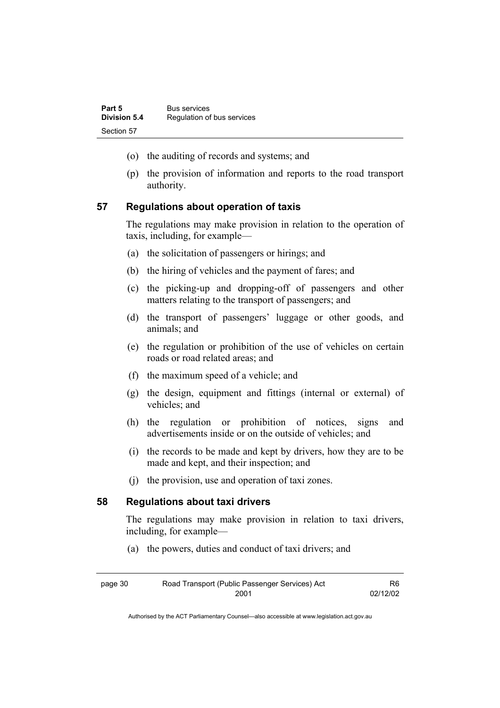- (o) the auditing of records and systems; and
- (p) the provision of information and reports to the road transport authority.

#### **57 Regulations about operation of taxis**

The regulations may make provision in relation to the operation of taxis, including, for example—

- (a) the solicitation of passengers or hirings; and
- (b) the hiring of vehicles and the payment of fares; and
- (c) the picking-up and dropping-off of passengers and other matters relating to the transport of passengers; and
- (d) the transport of passengers' luggage or other goods, and animals; and
- (e) the regulation or prohibition of the use of vehicles on certain roads or road related areas; and
- (f) the maximum speed of a vehicle; and
- (g) the design, equipment and fittings (internal or external) of vehicles; and
- (h) the regulation or prohibition of notices, signs and advertisements inside or on the outside of vehicles; and
- (i) the records to be made and kept by drivers, how they are to be made and kept, and their inspection; and
- (j) the provision, use and operation of taxi zones.

#### **58 Regulations about taxi drivers**

The regulations may make provision in relation to taxi drivers, including, for example—

(a) the powers, duties and conduct of taxi drivers; and

| page 30 | Road Transport (Public Passenger Services) Act | R6.      |
|---------|------------------------------------------------|----------|
|         | 2001                                           | 02/12/02 |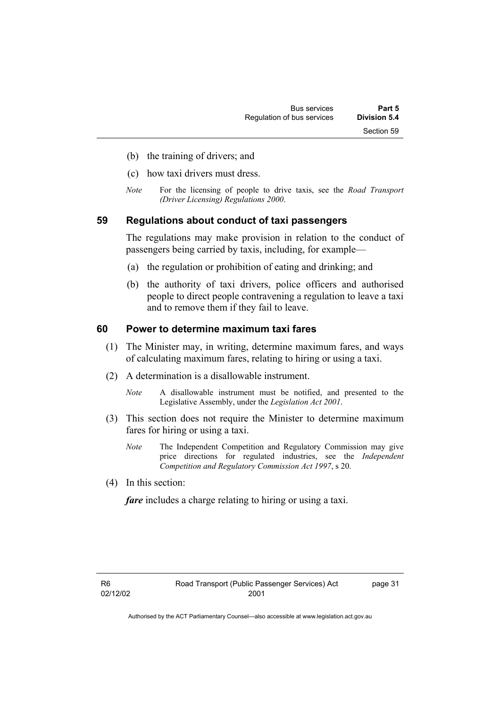- (b) the training of drivers; and
- (c) how taxi drivers must dress.
- *Note* For the licensing of people to drive taxis, see the *Road Transport (Driver Licensing) Regulations 2000*.

#### **59 Regulations about conduct of taxi passengers**

The regulations may make provision in relation to the conduct of passengers being carried by taxis, including, for example—

- (a) the regulation or prohibition of eating and drinking; and
- (b) the authority of taxi drivers, police officers and authorised people to direct people contravening a regulation to leave a taxi and to remove them if they fail to leave.

#### **60 Power to determine maximum taxi fares**

- (1) The Minister may, in writing, determine maximum fares, and ways of calculating maximum fares, relating to hiring or using a taxi.
- (2) A determination is a disallowable instrument.
	- *Note* A disallowable instrument must be notified, and presented to the Legislative Assembly, under the *Legislation Act 2001*.
- (3) This section does not require the Minister to determine maximum fares for hiring or using a taxi.
	- *Note* The Independent Competition and Regulatory Commission may give price directions for regulated industries, see the *Independent Competition and Regulatory Commission Act 1997*, s 20.
- (4) In this section:

*fare* includes a charge relating to hiring or using a taxi.

page 31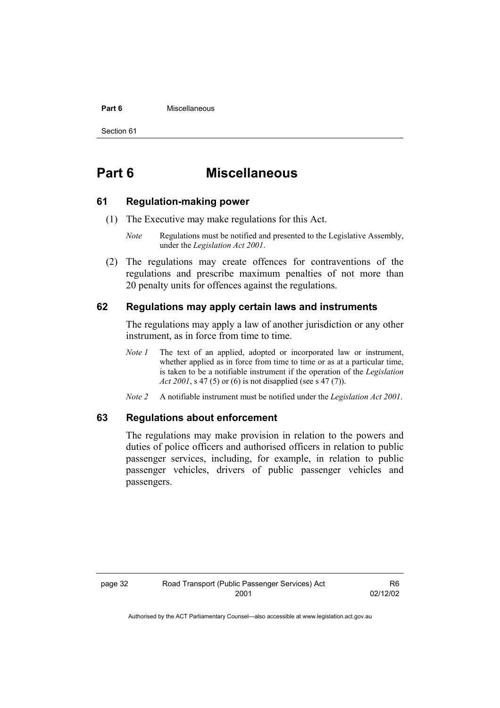#### **Part 6 Miscellaneous**

Section 61

### **Part 6 Miscellaneous**

#### **61 Regulation-making power**

- (1) The Executive may make regulations for this Act.
	- *Note* Regulations must be notified and presented to the Legislative Assembly, under the *Legislation Act 2001*.
- (2) The regulations may create offences for contraventions of the regulations and prescribe maximum penalties of not more than 20 penalty units for offences against the regulations.

#### **62 Regulations may apply certain laws and instruments**

The regulations may apply a law of another jurisdiction or any other instrument, as in force from time to time.

- *Note 1* The text of an applied, adopted or incorporated law or instrument, whether applied as in force from time to time or as at a particular time, is taken to be a notifiable instrument if the operation of the *Legislation Act 2001*, s 47 (5) or (6) is not disapplied (see s 47 (7)).
- *Note 2* A notifiable instrument must be notified under the *Legislation Act 2001*.

#### **63 Regulations about enforcement**

The regulations may make provision in relation to the powers and duties of police officers and authorised officers in relation to public passenger services, including, for example, in relation to public passenger vehicles, drivers of public passenger vehicles and passengers.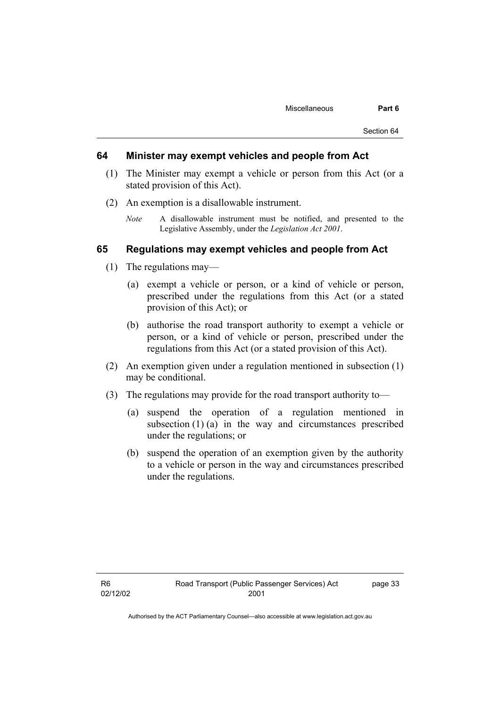#### **64 Minister may exempt vehicles and people from Act**

- (1) The Minister may exempt a vehicle or person from this Act (or a stated provision of this Act).
- (2) An exemption is a disallowable instrument.
	- *Note* A disallowable instrument must be notified, and presented to the Legislative Assembly, under the *Legislation Act 2001*.

#### **65 Regulations may exempt vehicles and people from Act**

- (1) The regulations may—
	- (a) exempt a vehicle or person, or a kind of vehicle or person, prescribed under the regulations from this Act (or a stated provision of this Act); or
	- (b) authorise the road transport authority to exempt a vehicle or person, or a kind of vehicle or person, prescribed under the regulations from this Act (or a stated provision of this Act).
- (2) An exemption given under a regulation mentioned in subsection (1) may be conditional.
- (3) The regulations may provide for the road transport authority to—
	- (a) suspend the operation of a regulation mentioned in subsection (1) (a) in the way and circumstances prescribed under the regulations; or
	- (b) suspend the operation of an exemption given by the authority to a vehicle or person in the way and circumstances prescribed under the regulations.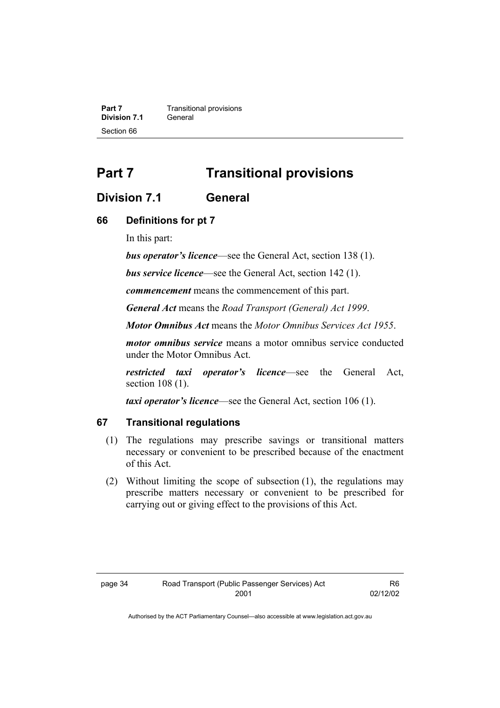**Part 7 Transitional provisions**<br>**Division 7.1 General Division 7.1** Section 66

### **Part 7 Transitional provisions**

#### **Division 7.1 General**

#### **66 Definitions for pt 7**

In this part:

*bus operator's licence*—see the General Act, section 138 (1).

*bus service licence*—see the General Act, section 142 (1).

*commencement* means the commencement of this part.

*General Act* means the *Road Transport (General) Act 1999*.

*Motor Omnibus Act* means the *Motor Omnibus Services Act 1955*.

*motor omnibus service* means a motor omnibus service conducted under the Motor Omnibus Act.

*restricted taxi operator's licence*—see the General Act, section 108 (1).

*taxi operator's licence*—see the General Act, section 106 (1).

#### **67 Transitional regulations**

- (1) The regulations may prescribe savings or transitional matters necessary or convenient to be prescribed because of the enactment of this Act.
- (2) Without limiting the scope of subsection (1), the regulations may prescribe matters necessary or convenient to be prescribed for carrying out or giving effect to the provisions of this Act.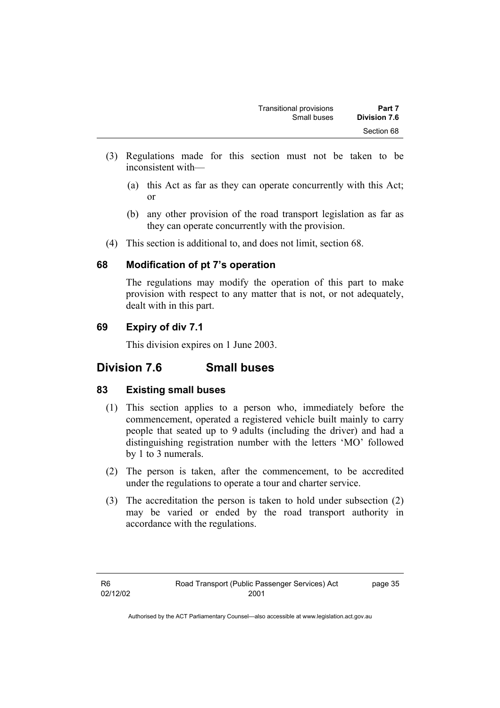- (3) Regulations made for this section must not be taken to be inconsistent with—
	- (a) this Act as far as they can operate concurrently with this Act; or
	- (b) any other provision of the road transport legislation as far as they can operate concurrently with the provision.
- (4) This section is additional to, and does not limit, section 68.

#### **68 Modification of pt 7's operation**

The regulations may modify the operation of this part to make provision with respect to any matter that is not, or not adequately, dealt with in this part.

### **69 Expiry of div 7.1**

This division expires on 1 June 2003.

### **Division 7.6 Small buses**

#### **83 Existing small buses**

- (1) This section applies to a person who, immediately before the commencement, operated a registered vehicle built mainly to carry people that seated up to 9 adults (including the driver) and had a distinguishing registration number with the letters 'MO' followed by 1 to 3 numerals.
- (2) The person is taken, after the commencement, to be accredited under the regulations to operate a tour and charter service.
- (3) The accreditation the person is taken to hold under subsection (2) may be varied or ended by the road transport authority in accordance with the regulations.

page 35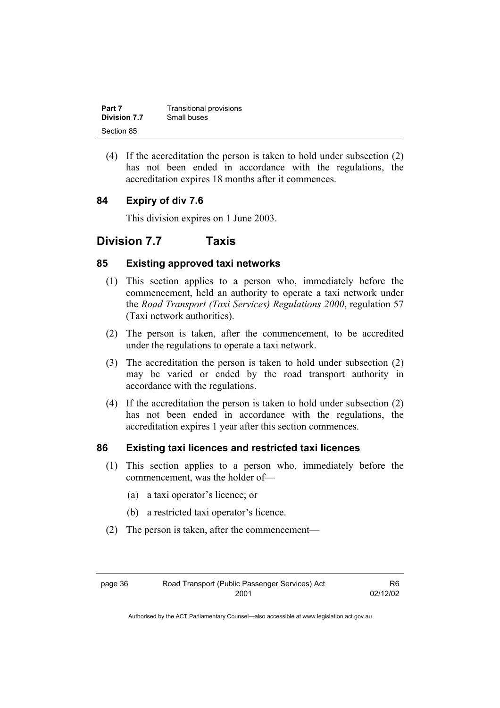| Part 7       | Transitional provisions |
|--------------|-------------------------|
| Division 7.7 | Small buses             |
| Section 85   |                         |

 (4) If the accreditation the person is taken to hold under subsection (2) has not been ended in accordance with the regulations, the accreditation expires 18 months after it commences.

### **84 Expiry of div 7.6**

This division expires on 1 June 2003.

### **Division 7.7 Taxis**

#### **85 Existing approved taxi networks**

- (1) This section applies to a person who, immediately before the commencement, held an authority to operate a taxi network under the *Road Transport (Taxi Services) Regulations 2000*, regulation 57 (Taxi network authorities).
- (2) The person is taken, after the commencement, to be accredited under the regulations to operate a taxi network.
- (3) The accreditation the person is taken to hold under subsection (2) may be varied or ended by the road transport authority in accordance with the regulations.
- (4) If the accreditation the person is taken to hold under subsection (2) has not been ended in accordance with the regulations, the accreditation expires 1 year after this section commences.

#### **86 Existing taxi licences and restricted taxi licences**

- (1) This section applies to a person who, immediately before the commencement, was the holder of—
	- (a) a taxi operator's licence; or
	- (b) a restricted taxi operator's licence.
- (2) The person is taken, after the commencement—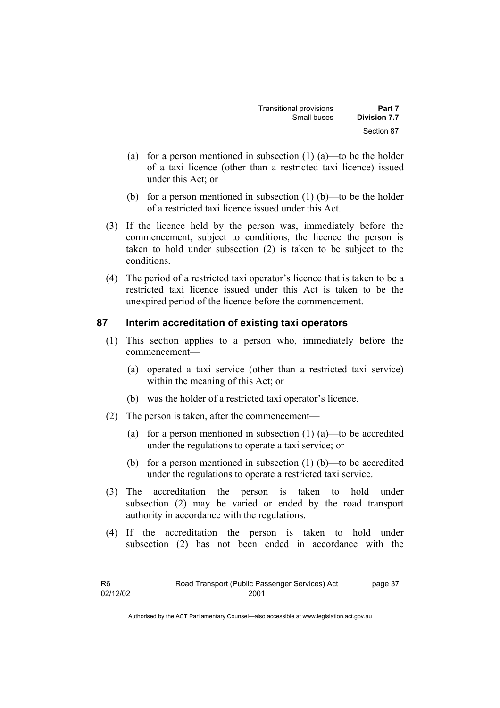| Transitional provisions | Part 7              |
|-------------------------|---------------------|
| Small buses             | <b>Division 7.7</b> |
|                         | Section 87          |

- (a) for a person mentioned in subsection  $(1)$  (a)—to be the holder of a taxi licence (other than a restricted taxi licence) issued under this Act; or
- (b) for a person mentioned in subsection  $(1)$  (b)—to be the holder of a restricted taxi licence issued under this Act.
- (3) If the licence held by the person was, immediately before the commencement, subject to conditions, the licence the person is taken to hold under subsection (2) is taken to be subject to the conditions.
- (4) The period of a restricted taxi operator's licence that is taken to be a restricted taxi licence issued under this Act is taken to be the unexpired period of the licence before the commencement.

#### **87 Interim accreditation of existing taxi operators**

- (1) This section applies to a person who, immediately before the commencement—
	- (a) operated a taxi service (other than a restricted taxi service) within the meaning of this Act; or
	- (b) was the holder of a restricted taxi operator's licence.
- (2) The person is taken, after the commencement—
	- (a) for a person mentioned in subsection  $(1)$   $(a)$ —to be accredited under the regulations to operate a taxi service; or
	- (b) for a person mentioned in subsection (1) (b)—to be accredited under the regulations to operate a restricted taxi service.
- (3) The accreditation the person is taken to hold under subsection (2) may be varied or ended by the road transport authority in accordance with the regulations.
- (4) If the accreditation the person is taken to hold under subsection (2) has not been ended in accordance with the

| R6       | Road Transport (Public Passenger Services) Act | page 37 |
|----------|------------------------------------------------|---------|
| 02/12/02 | 2001                                           |         |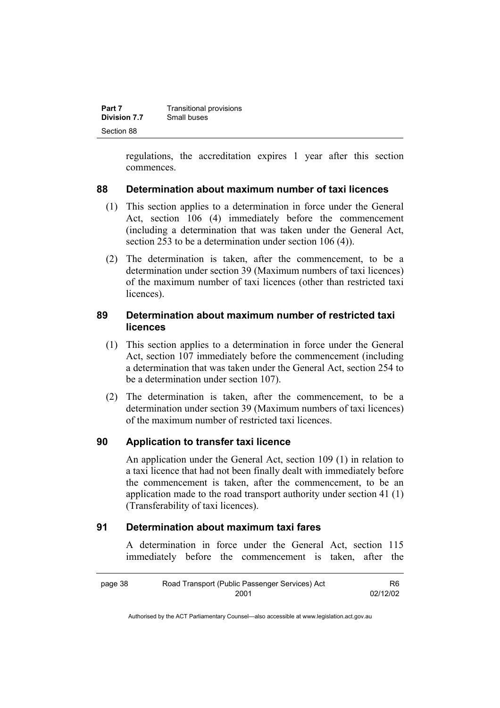| Part 7       | Transitional provisions |
|--------------|-------------------------|
| Division 7.7 | Small buses             |
| Section 88   |                         |

regulations, the accreditation expires 1 year after this section commences.

#### **88 Determination about maximum number of taxi licences**

- (1) This section applies to a determination in force under the General Act, section 106 (4) immediately before the commencement (including a determination that was taken under the General Act, section 253 to be a determination under section 106 (4)).
- (2) The determination is taken, after the commencement, to be a determination under section 39 (Maximum numbers of taxi licences) of the maximum number of taxi licences (other than restricted taxi licences).

#### **89 Determination about maximum number of restricted taxi licences**

- (1) This section applies to a determination in force under the General Act, section 107 immediately before the commencement (including a determination that was taken under the General Act, section 254 to be a determination under section 107).
- (2) The determination is taken, after the commencement, to be a determination under section 39 (Maximum numbers of taxi licences) of the maximum number of restricted taxi licences.

#### **90 Application to transfer taxi licence**

An application under the General Act, section 109 (1) in relation to a taxi licence that had not been finally dealt with immediately before the commencement is taken, after the commencement, to be an application made to the road transport authority under section 41 (1) (Transferability of taxi licences).

#### **91 Determination about maximum taxi fares**

A determination in force under the General Act, section 115 immediately before the commencement is taken, after the

| page 38 | Road Transport (Public Passenger Services) Act | R6       |
|---------|------------------------------------------------|----------|
|         | 2001                                           | 02/12/02 |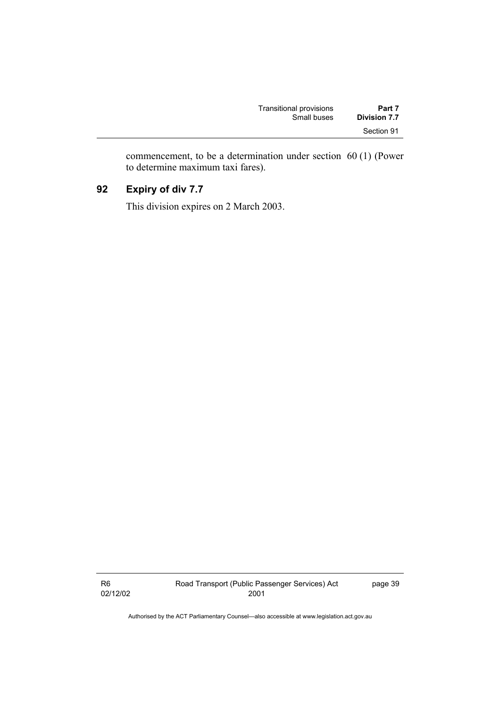| Transitional provisions | Part 7              |
|-------------------------|---------------------|
| Small buses             | <b>Division 7.7</b> |
|                         | Section 91          |

commencement, to be a determination under section 60 (1) (Power to determine maximum taxi fares).

### **92 Expiry of div 7.7**

This division expires on 2 March 2003.

R6 02/12/02 page 39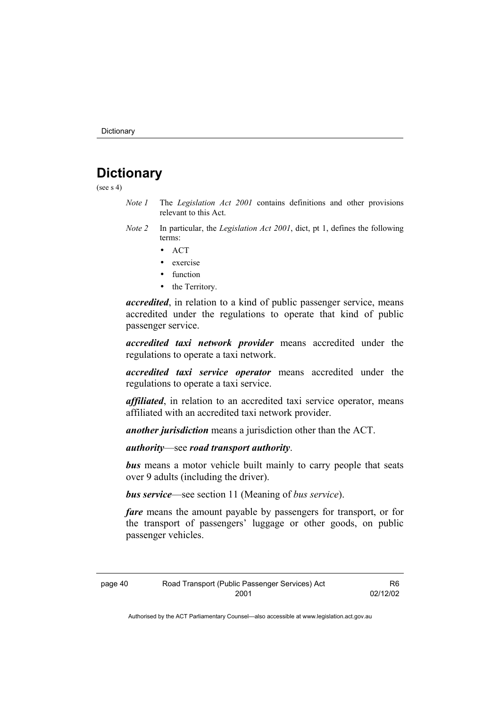### **Dictionary**

(see s 4)

- *Note 1* The *Legislation Act 2001* contains definitions and other provisions relevant to this Act.
- *Note 2* In particular, the *Legislation Act 2001*, dict, pt 1, defines the following terms:
	- ACT
	- exercise
	- function
	- the Territory.

*accredited*, in relation to a kind of public passenger service, means accredited under the regulations to operate that kind of public passenger service.

*accredited taxi network provider* means accredited under the regulations to operate a taxi network.

*accredited taxi service operator* means accredited under the regulations to operate a taxi service.

*affiliated*, in relation to an accredited taxi service operator, means affiliated with an accredited taxi network provider.

*another jurisdiction* means a jurisdiction other than the ACT.

*authority*—see *road transport authority*.

*bus* means a motor vehicle built mainly to carry people that seats over 9 adults (including the driver).

*bus service*—see section 11 (Meaning of *bus service*).

*fare* means the amount payable by passengers for transport, or for the transport of passengers' luggage or other goods, on public passenger vehicles.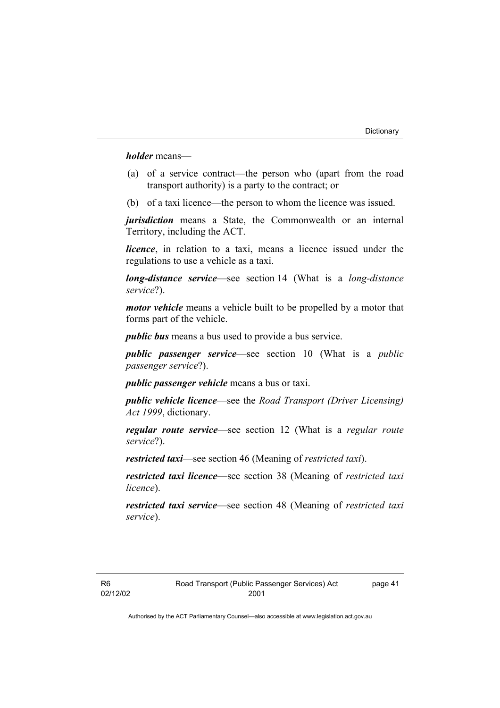*holder* means—

- (a) of a service contract—the person who (apart from the road transport authority) is a party to the contract; or
- (b) of a taxi licence—the person to whom the licence was issued.

*jurisdiction* means a State, the Commonwealth or an internal Territory, including the ACT.

*licence*, in relation to a taxi, means a licence issued under the regulations to use a vehicle as a taxi.

*long-distance service*—see section 14 (What is a *long-distance service*?).

*motor vehicle* means a vehicle built to be propelled by a motor that forms part of the vehicle.

*public bus* means a bus used to provide a bus service.

*public passenger service*—see section 10 (What is a *public passenger service*?).

*public passenger vehicle* means a bus or taxi.

*public vehicle licence*—see the *Road Transport (Driver Licensing) Act 1999*, dictionary.

*regular route service*—see section 12 (What is a *regular route service*?).

*restricted taxi*—see section 46 (Meaning of *restricted taxi*).

*restricted taxi licence*—see section 38 (Meaning of *restricted taxi licence*).

*restricted taxi service*—see section 48 (Meaning of *restricted taxi service*).

page 41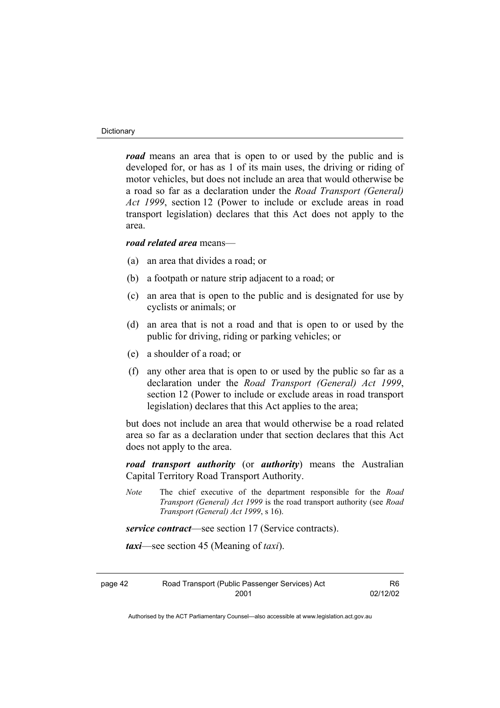#### **Dictionary**

*road* means an area that is open to or used by the public and is developed for, or has as 1 of its main uses, the driving or riding of motor vehicles, but does not include an area that would otherwise be a road so far as a declaration under the *Road Transport (General) Act 1999*, section 12 (Power to include or exclude areas in road transport legislation) declares that this Act does not apply to the area.

#### *road related area* means—

- (a) an area that divides a road; or
- (b) a footpath or nature strip adjacent to a road; or
- (c) an area that is open to the public and is designated for use by cyclists or animals; or
- (d) an area that is not a road and that is open to or used by the public for driving, riding or parking vehicles; or
- (e) a shoulder of a road; or
- (f) any other area that is open to or used by the public so far as a declaration under the *Road Transport (General) Act 1999*, section 12 (Power to include or exclude areas in road transport legislation) declares that this Act applies to the area;

but does not include an area that would otherwise be a road related area so far as a declaration under that section declares that this Act does not apply to the area.

*road transport authority* (or *authority*) means the Australian Capital Territory Road Transport Authority.

*Note* The chief executive of the department responsible for the *Road Transport (General) Act 1999* is the road transport authority (see *Road Transport (General) Act 1999*, s 16).

*service contract*—see section 17 (Service contracts).

*taxi*—see section 45 (Meaning of *taxi*).

| page 42 | Road Transport (Public Passenger Services) Act |
|---------|------------------------------------------------|
|         | 2001                                           |

R6 02/12/02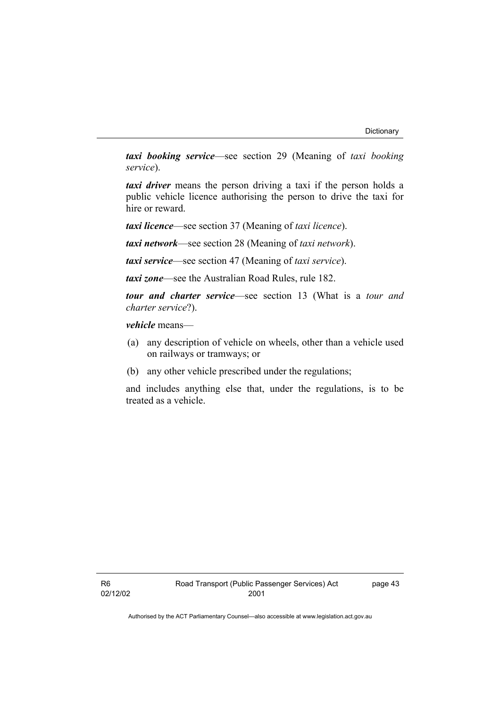*taxi booking service*—see section 29 (Meaning of *taxi booking service*).

*taxi driver* means the person driving a taxi if the person holds a public vehicle licence authorising the person to drive the taxi for hire or reward.

*taxi licence*—see section 37 (Meaning of *taxi licence*).

*taxi network*—see section 28 (Meaning of *taxi network*).

*taxi service*—see section 47 (Meaning of *taxi service*).

*taxi zone*—see the Australian Road Rules, rule 182.

*tour and charter service*—see section 13 (What is a *tour and charter service*?).

*vehicle* means—

- (a) any description of vehicle on wheels, other than a vehicle used on railways or tramways; or
- (b) any other vehicle prescribed under the regulations;

and includes anything else that, under the regulations, is to be treated as a vehicle.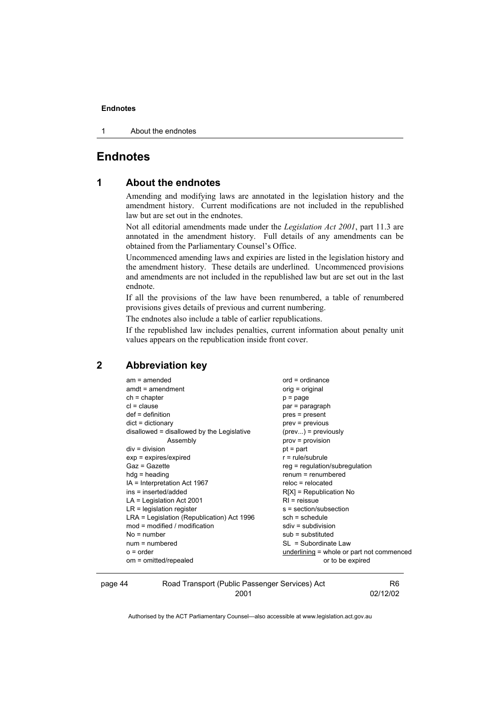1 About the endnotes

#### **Endnotes**

#### **1 About the endnotes**

Amending and modifying laws are annotated in the legislation history and the amendment history. Current modifications are not included in the republished law but are set out in the endnotes.

Not all editorial amendments made under the *Legislation Act 2001*, part 11.3 are annotated in the amendment history. Full details of any amendments can be obtained from the Parliamentary Counsel's Office.

Uncommenced amending laws and expiries are listed in the legislation history and the amendment history. These details are underlined. Uncommenced provisions and amendments are not included in the republished law but are set out in the last endnote.

If all the provisions of the law have been renumbered, a table of renumbered provisions gives details of previous and current numbering.

The endnotes also include a table of earlier republications.

If the republished law includes penalties, current information about penalty unit values appears on the republication inside front cover.

#### **2 Abbreviation key**

| $am = amended$                               | $ord = ordinance$                         |
|----------------------------------------------|-------------------------------------------|
| $amdt = amendment$                           | orig = original                           |
| $ch = chapter$                               | p = page                                  |
| $cl = clause$                                | par = paragraph                           |
| $def = definition$                           | pres = present                            |
| $dict = dictionary$                          | prev = previous                           |
| disallowed = disallowed by the Legislative   | $(\text{prev})$ = previously              |
| Assembly                                     | prov = provision                          |
| $div = division$                             | $pt = part$                               |
| $exp = expires/expired$                      | $r = rule/subrule$                        |
| Gaz = Gazette                                | reg = regulation/subregulation            |
| $hdg =$ heading                              | $renum = renumbered$                      |
| IA = Interpretation Act 1967                 | $reloc = relocated$                       |
| ins = inserted/added                         | $R[X]$ = Republication No                 |
| $LA =$ Legislation Act 2001                  | $RI =$ reissue                            |
| $LR =$ legislation register                  | s = section/subsection                    |
| $LRA =$ Legislation (Republication) Act 1996 | $sch = schedule$                          |
| $mod = modified / modified$                  | $sdiv = subdivision$                      |
| $No = number$                                | $sub =$ substituted                       |
| $num = numbered$                             | SL = Subordinate Law                      |
| $o = order$                                  | underlining = whole or part not commenced |
| om = omitted/repealed                        | or to be expired                          |
|                                              |                                           |

| page 44 | Road Transport (Public Passenger Services) Act | R6       |
|---------|------------------------------------------------|----------|
|         | 2001                                           | 02/12/02 |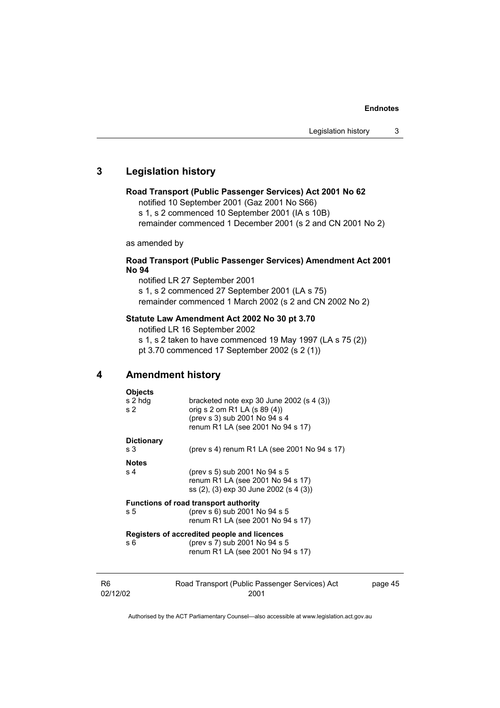#### **3 Legislation history**

#### **Road Transport (Public Passenger Services) Act 2001 No 62**

notified 10 September 2001 (Gaz 2001 No S66)

s 1, s 2 commenced 10 September 2001 (IA s 10B)

remainder commenced 1 December 2001 (s 2 and CN 2001 No 2)

as amended by

#### **Road Transport (Public Passenger Services) Amendment Act 2001 No 94**

notified LR 27 September 2001 s 1, s 2 commenced 27 September 2001 (LA s 75) remainder commenced 1 March 2002 (s 2 and CN 2002 No 2)

#### **Statute Law Amendment Act 2002 No 30 pt 3.70**

notified LR 16 September 2002

s 1, s 2 taken to have commenced 19 May 1997 (LA s 75 (2)) pt 3.70 commenced 17 September 2002 (s 2 (1))

#### **4 Amendment history**

| <b>Objects</b>    |                                                                              |         |
|-------------------|------------------------------------------------------------------------------|---------|
| s 2 hdg           | bracketed note $exp 30$ June 2002 (s 4 (3))                                  |         |
| s <sub>2</sub>    | orig s 2 om R1 LA (s 89 (4))<br>(prev s 3) sub 2001 No 94 s 4                |         |
|                   | renum R1 LA (see 2001 No 94 s 17)                                            |         |
| <b>Dictionary</b> |                                                                              |         |
| s 3               | (prev s 4) renum R1 LA (see 2001 No 94 s 17)                                 |         |
| <b>Notes</b>      |                                                                              |         |
| s 4               | (prev s 5) sub 2001 No 94 s 5                                                |         |
|                   | renum R1 LA (see 2001 No 94 s 17)<br>ss (2), (3) exp 30 June 2002 (s 4 (3))  |         |
|                   |                                                                              |         |
|                   | <b>Functions of road transport authority</b>                                 |         |
| s 5               | (prev s 6) sub 2001 No 94 s 5<br>renum R1 LA (see 2001 No 94 s 17)           |         |
|                   |                                                                              |         |
| s 6               | Registers of accredited people and licences<br>(prev s 7) sub 2001 No 94 s 5 |         |
|                   | renum R1 LA (see 2001 No 94 s 17)                                            |         |
|                   |                                                                              |         |
|                   |                                                                              |         |
|                   | Road Transport (Public Passenger Services) Act                               | page 45 |

02/12/02

R6

2001

page 45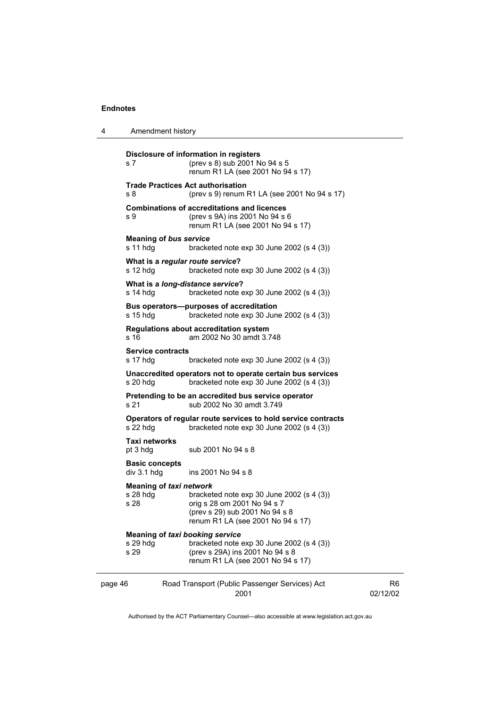4 Amendment history

| s 7                                                        | Disclosure of information in registers<br>(prev s 8) sub 2001 No 94 s 5<br>renum R1 LA (see 2001 No 94 s 17)                                      |                |
|------------------------------------------------------------|---------------------------------------------------------------------------------------------------------------------------------------------------|----------------|
| s <sub>8</sub>                                             | <b>Trade Practices Act authorisation</b><br>(prev s 9) renum R1 LA (see 2001 No 94 s 17)                                                          |                |
| s 9                                                        | <b>Combinations of accreditations and licences</b><br>(prev s 9A) ins 2001 No 94 s 6<br>renum R1 LA (see 2001 No 94 s 17)                         |                |
| <b>Meaning of bus service</b><br>s 11 hdg                  | bracketed note $exp 30$ June 2002 (s 4 (3))                                                                                                       |                |
| What is a regular route service?<br>$s$ 12 hdg             | bracketed note exp 30 June 2002 (s 4 (3))                                                                                                         |                |
| What is a long-distance service?<br>$s$ 14 hdg             | bracketed note $exp 30$ June 2002 (s 4 (3))                                                                                                       |                |
| $s$ 15 hdg                                                 | Bus operators--purposes of accreditation<br>bracketed note $exp 30$ June 2002 (s 4 (3))                                                           |                |
| s <sub>16</sub>                                            | <b>Regulations about accreditation system</b><br>am 2002 No 30 amdt 3.748                                                                         |                |
| <b>Service contracts</b><br>s 17 hdg                       | bracketed note $exp 30$ June 2002 (s 4 (3))                                                                                                       |                |
| $s$ 20 hdg                                                 | Unaccredited operators not to operate certain bus services<br>bracketed note $exp 30$ June 2002 (s 4 (3))                                         |                |
| s 21                                                       | Pretending to be an accredited bus service operator<br>sub 2002 No 30 amdt 3.749                                                                  |                |
| s 22 hdg                                                   | Operators of regular route services to hold service contracts<br>bracketed note $exp 30$ June 2002 (s 4 (3))                                      |                |
| Taxi networks<br>pt 3 hdg                                  | sub 2001 No 94 s 8                                                                                                                                |                |
| <b>Basic concepts</b><br>div 3.1 hdg                       | ins 2001 No 94 s 8                                                                                                                                |                |
| <b>Meaning of taxi network</b><br>$s$ 28 hdg<br>s 28       | bracketed note $exp 30$ June 2002 (s 4 (3))<br>orig s 28 om 2001 No 94 s 7<br>(prev s 29) sub 2001 No 94 s 8<br>renum R1 LA (see 2001 No 94 s 17) |                |
| <b>Meaning of taxi booking service</b><br>s 29 hdg<br>s 29 | bracketed note $exp 30$ June 2002 (s 4 (3))<br>(prev s 29A) ins 2001 No 94 s 8<br>renum R1 LA (see 2001 No 94 s 17)                               |                |
| page 46                                                    | Road Transport (Public Passenger Services) Act<br>2001                                                                                            | R6<br>02/12/02 |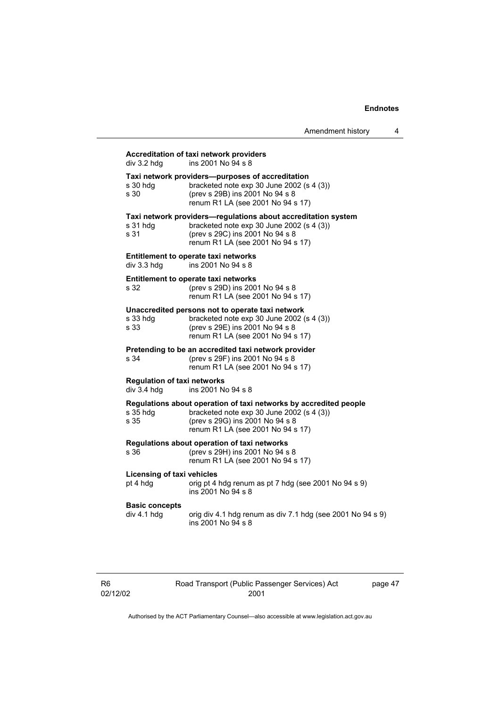| Amendment history |  |
|-------------------|--|
|                   |  |

| div 3.2 hdg                                       | ins 2001 No 94 s 8                                                                                                                                                                     |
|---------------------------------------------------|----------------------------------------------------------------------------------------------------------------------------------------------------------------------------------------|
| s 30 hdg<br>s 30                                  | Taxi network providers—purposes of accreditation<br>bracketed note exp 30 June 2002 (s 4 (3))<br>(prev s 29B) ins 2001 No 94 s 8<br>renum R1 LA (see 2001 No 94 s 17)                  |
| s 31 hdg<br>s 31                                  | Taxi network providers-regulations about accreditation system<br>bracketed note exp 30 June 2002 (s 4 (3))<br>(prev s 29C) ins 2001 No 94 s 8<br>renum R1 LA (see 2001 No 94 s 17)     |
| div 3.3 hdg                                       | <b>Entitlement to operate taxi networks</b><br>ins 2001 No 94 s 8                                                                                                                      |
| s 32                                              | Entitlement to operate taxi networks<br>(prev s 29D) ins 2001 No 94 s 8<br>renum R1 LA (see 2001 No 94 s 17)                                                                           |
| s 33 hdg<br>s 33                                  | Unaccredited persons not to operate taxi network<br>bracketed note exp 30 June 2002 (s 4 (3))<br>(prev s 29E) ins 2001 No 94 s 8<br>renum R1 LA (see 2001 No 94 s 17)                  |
| s 34                                              | Pretending to be an accredited taxi network provider<br>(prev s 29F) ins 2001 No 94 s 8<br>renum R1 LA (see 2001 No 94 s 17)                                                           |
| <b>Regulation of taxi networks</b><br>div 3.4 hdg | ins 2001 No 94 s 8                                                                                                                                                                     |
| s 35 hdg<br>s 35                                  | Regulations about operation of taxi networks by accredited people<br>bracketed note exp 30 June 2002 (s 4 (3))<br>(prev s 29G) ins 2001 No 94 s 8<br>renum R1 LA (see 2001 No 94 s 17) |
| s 36                                              | Regulations about operation of taxi networks<br>(prev s 29H) ins 2001 No 94 s 8<br>renum R1 LA (see 2001 No 94 s 17)                                                                   |
| <b>Licensing of taxi vehicles</b><br>pt 4 hdg     | orig pt 4 hdg renum as pt 7 hdg (see 2001 No 94 s 9)<br>ins 2001 No 94 s 8                                                                                                             |
| <b>Basic concepts</b><br>div 4.1 hdg              | orig div 4.1 hdg renum as div 7.1 hdg (see 2001 No 94 s 9)<br>ins 2001 No 94 s 8                                                                                                       |

Road Transport (Public Passenger Services) Act 2001

page 47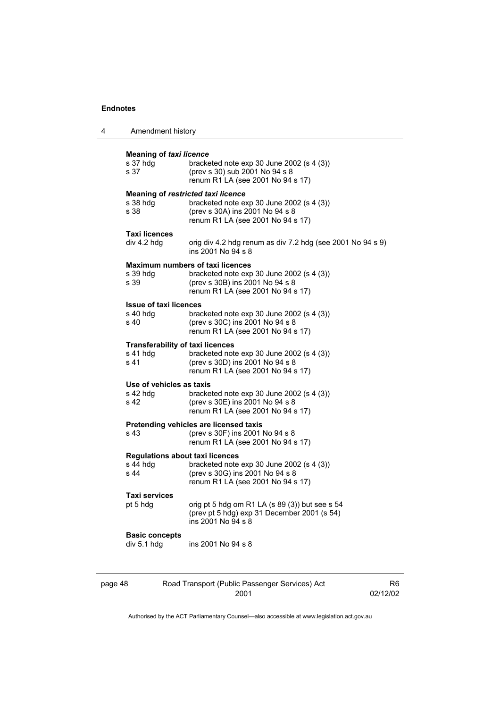4 Amendment history

| s 37 hdq<br>s 37                                  | bracketed note $exp 30$ June 2002 (s 4 (3))<br>(prev s 30) sub 2001 No 94 s 8<br>renum R1 LA (see 2001 No 94 s 17)                                             |
|---------------------------------------------------|----------------------------------------------------------------------------------------------------------------------------------------------------------------|
|                                                   | <b>Meaning of restricted taxi licence</b>                                                                                                                      |
| s 38 hdg<br>s 38                                  | bracketed note $exp 30$ June 2002 (s 4 (3))<br>(prev s 30A) ins 2001 No 94 s 8<br>renum R1 LA (see 2001 No 94 s 17)                                            |
| <b>Taxi licences</b><br>div 4.2 hdg               | orig div 4.2 hdg renum as div 7.2 hdg (see 2001 No 94 s 9)<br>ins 2001 No 94 s 8                                                                               |
| s 39 hdg<br>s 39                                  | <b>Maximum numbers of taxi licences</b><br>bracketed note $exp 30$ June 2002 (s 4 (3))<br>(prev s 30B) ins 2001 No 94 s 8<br>renum R1 LA (see 2001 No 94 s 17) |
| <b>Issue of taxi licences</b><br>s 40 hdg<br>s 40 | bracketed note $exp 30$ June 2002 (s 4 (3))<br>(prev s 30C) ins 2001 No 94 s 8<br>renum R1 LA (see 2001 No 94 s 17)                                            |
| s 41 hdg<br>s 41                                  | <b>Transferability of taxi licences</b><br>bracketed note exp 30 June 2002 (s 4 (3))<br>(prev s 30D) ins 2001 No 94 s 8<br>renum R1 LA (see 2001 No 94 s 17)   |
| Use of vehicles as taxis<br>$s$ 42 hdg<br>s 42    | bracketed note $exp 30$ June 2002 (s 4 (3))<br>(prev s 30E) ins 2001 No 94 s 8<br>renum R1 LA (see 2001 No 94 s 17)                                            |
| s 43                                              | Pretending vehicles are licensed taxis<br>(prev s 30F) ins 2001 No 94 s 8<br>renum R1 LA (see 2001 No 94 s 17)                                                 |
| s 44 hdg<br>s 44                                  | <b>Regulations about taxi licences</b><br>bracketed note $exp 30$ June 2002 (s 4 (3))<br>(prev s 30G) ins 2001 No 94 s 8<br>renum R1 LA (see 2001 No 94 s 17)  |
| Taxi services<br>pt 5 hdg                         | orig pt 5 hdg om R1 LA (s 89 (3)) but see s 54<br>(prev pt 5 hdg) exp 31 December 2001 (s 54)<br>ins 2001 No 94 s 8                                            |
| <b>Basic concepts</b><br>div 5.1 hdg              | ins 2001 No 94 s 8                                                                                                                                             |

2001

02/12/02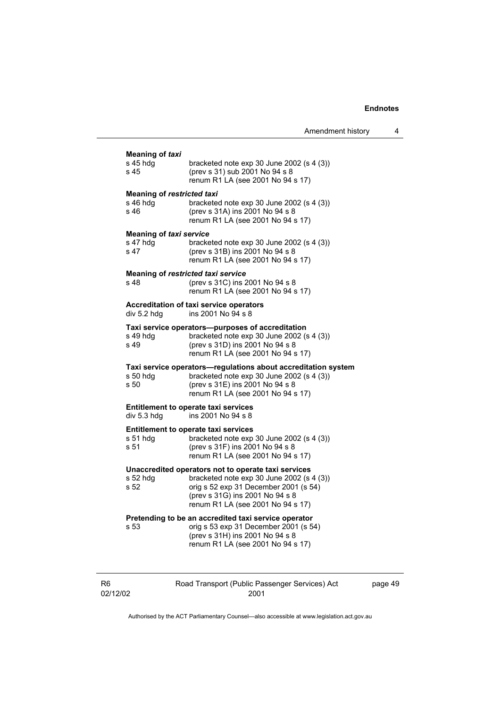|                                                       |                                                                                                                                                                                                                      |                   | <b>Eligilotes</b> |
|-------------------------------------------------------|----------------------------------------------------------------------------------------------------------------------------------------------------------------------------------------------------------------------|-------------------|-------------------|
|                                                       |                                                                                                                                                                                                                      | Amendment history | 4                 |
| Meaning of <i>taxi</i><br>s 45 hdg<br>s 45            | bracketed note $exp 30$ June 2002 (s 4 (3))<br>(prev s 31) sub 2001 No 94 s 8<br>renum R1 LA (see 2001 No 94 s 17)                                                                                                   |                   |                   |
| <b>Meaning of restricted taxi</b><br>s 46 hda<br>s 46 | bracketed note $exp 30$ June 2002 (s 4 (3))<br>(prev s 31A) ins 2001 No 94 s 8<br>renum R1 LA (see 2001 No 94 s 17)                                                                                                  |                   |                   |
| <b>Meaning of taxi service</b><br>s 47 hdg<br>s 47    | bracketed note $exp 30$ June 2002 (s 4 (3))<br>(prev s 31B) ins 2001 No 94 s 8<br>renum R1 LA (see 2001 No 94 s 17)                                                                                                  |                   |                   |
| Meaning of restricted taxi service<br>s 48            | (prev s 31C) ins 2001 No 94 s 8<br>renum R1 LA (see 2001 No 94 s 17)                                                                                                                                                 |                   |                   |
| div 5.2 hdg                                           | Accreditation of taxi service operators<br>ins 2001 No 94 s 8                                                                                                                                                        |                   |                   |
| s 49 hdq<br>s 49                                      | Taxi service operators—purposes of accreditation<br>bracketed note $exp 30$ June 2002 (s 4 (3))<br>(prev s 31D) ins 2001 No 94 s 8<br>renum R1 LA (see 2001 No 94 s 17)                                              |                   |                   |
| s 50 hdg<br>s 50                                      | Taxi service operators—regulations about accreditation system<br>bracketed note $exp 30$ June 2002 (s 4 (3))<br>(prev s 31E) ins 2001 No 94 s 8<br>renum R1 LA (see 2001 No 94 s 17)                                 |                   |                   |
| div 5.3 hdg                                           | Entitlement to operate taxi services<br>ins 2001 No 94 s 8                                                                                                                                                           |                   |                   |
| s 51 hdg<br>s 51                                      | Entitlement to operate taxi services<br>bracketed note $exp 30$ June 2002 (s 4 (3))<br>(prev s 31F) ins 2001 No 94 s 8<br>renum R1 LA (see 2001 No 94 s 17)                                                          |                   |                   |
| s 52 hdg<br>s 52                                      | Unaccredited operators not to operate taxi services<br>bracketed note $\exp 30$ June 2002 (s 4 (3))<br>orig s 52 exp 31 December 2001 (s 54)<br>(prev s 31G) ins 2001 No 94 s 8<br>renum R1 LA (see 2001 No 94 s 17) |                   |                   |
| s 53                                                  | Pretending to be an accredited taxi service operator<br>orig s 53 exp 31 December 2001 (s 54)<br>(prev s 31H) ins 2001 No 94 s 8<br>renum R1 LA (see 2001 No 94 s 17)                                                |                   |                   |

| Rб       |
|----------|
| 02/12/02 |

Road Transport (Public Passenger Services) Act 2001

page 49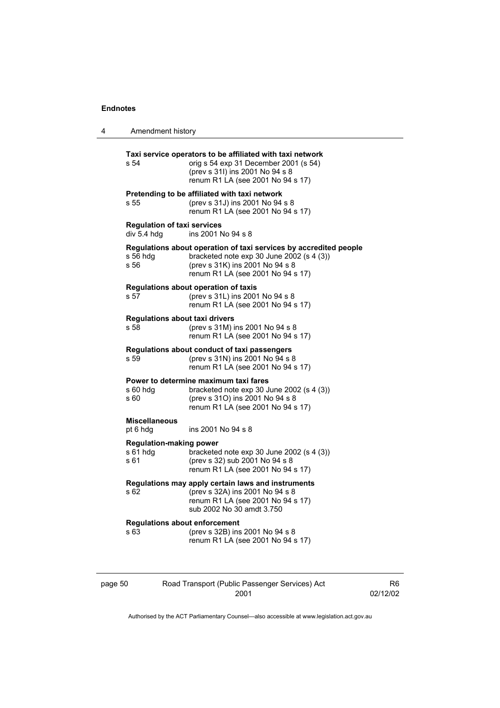| 4 | Amendment history                                  |                                                                                                                                                                                        |
|---|----------------------------------------------------|----------------------------------------------------------------------------------------------------------------------------------------------------------------------------------------|
|   | s 54                                               | Taxi service operators to be affiliated with taxi network<br>orig s 54 exp 31 December 2001 (s 54)<br>(prev s 31l) ins 2001 No 94 s 8<br>renum R1 LA (see 2001 No 94 s 17)             |
|   | s 55                                               | Pretending to be affiliated with taxi network<br>(prev s 31J) ins 2001 No 94 s 8<br>renum R1 LA (see 2001 No 94 s 17)                                                                  |
|   | <b>Regulation of taxi services</b><br>div 5.4 hdg  | ins 2001 No 94 s 8                                                                                                                                                                     |
|   | s 56 hdg<br>s 56                                   | Regulations about operation of taxi services by accredited people<br>bracketed note exp 30 June 2002 (s 4 (3))<br>(prev s 31K) ins 2001 No 94 s 8<br>renum R1 LA (see 2001 No 94 s 17) |
|   | s 57                                               | Regulations about operation of taxis<br>(prev s 31L) ins 2001 No 94 s 8<br>renum R1 LA (see 2001 No 94 s 17)                                                                           |
|   | <b>Regulations about taxi drivers</b><br>s 58      | (prev s 31M) ins 2001 No 94 s 8<br>renum R1 LA (see 2001 No 94 s 17)                                                                                                                   |
|   | s 59                                               | Regulations about conduct of taxi passengers<br>(prev s 31N) ins 2001 No 94 s 8<br>renum R1 LA (see 2001 No 94 s 17)                                                                   |
|   | s 60 hdg<br>s 60                                   | Power to determine maximum taxi fares<br>bracketed note exp 30 June 2002 (s 4 (3))<br>(prev s 31O) ins 2001 No 94 s 8<br>renum R1 LA (see 2001 No 94 s 17)                             |
|   | <b>Miscellaneous</b><br>pt 6 hdg                   | ins 2001 No 94 s 8                                                                                                                                                                     |
|   | <b>Regulation-making power</b><br>s 61 hdg<br>s 61 | bracketed note exp 30 June 2002 (s 4 (3))<br>(prev s 32) sub 2001 No 94 s 8<br>renum R1 LA (see 2001 No 94 s 17)                                                                       |
|   | s 62                                               | Regulations may apply certain laws and instruments<br>(prev s 32A) ins 2001 No 94 s 8<br>renum R1 LA (see 2001 No 94 s 17)<br>sub 2002 No 30 amdt 3.750                                |
|   | <b>Regulations about enforcement</b><br>s 63       | (prev s 32B) ins 2001 No 94 s 8<br>renum R1 LA (see 2001 No 94 s 17)                                                                                                                   |

| page 50 | Road Transport (Public Passenger Services) Act | R6       |
|---------|------------------------------------------------|----------|
|         | 2001                                           | 02/12/02 |
|         |                                                |          |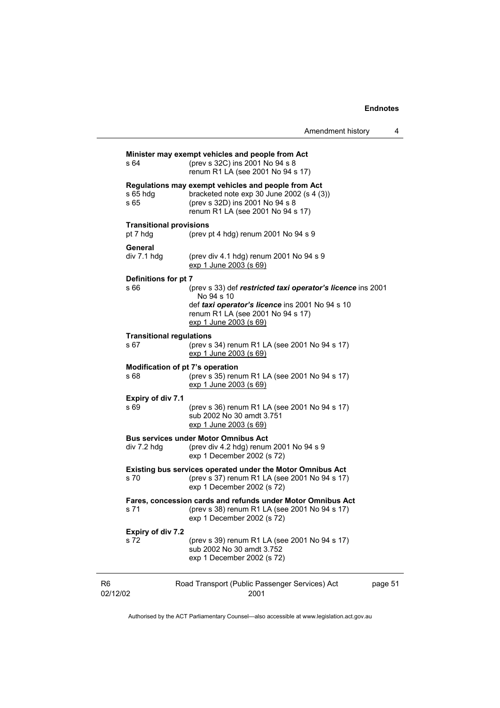| s 64                                       | Minister may exempt vehicles and people from Act<br>(prev s 32C) ins 2001 No 94 s 8<br>renum R1 LA (see 2001 No 94 s 17)                                                   |         |
|--------------------------------------------|----------------------------------------------------------------------------------------------------------------------------------------------------------------------------|---------|
| s 65 hdg<br>s 65                           | Regulations may exempt vehicles and people from Act<br>bracketed note $exp 30$ June 2002 (s 4 (3))<br>(prev s 32D) ins 2001 No 94 s 8<br>renum R1 LA (see 2001 No 94 s 17) |         |
| <b>Transitional provisions</b><br>pt 7 hdg | (prev pt 4 hdg) renum $2001$ No $94$ s $9$                                                                                                                                 |         |
| General<br>div 7.1 hdg                     | (prev div 4.1 hdg) renum 2001 No 94 s 9<br>exp 1 June 2003 (s 69)                                                                                                          |         |
| Definitions for pt 7                       |                                                                                                                                                                            |         |
| s 66                                       | (prev s 33) def restricted taxi operator's licence ins 2001<br>No 94 s 10                                                                                                  |         |
|                                            | def taxi operator's licence ins 2001 No 94 s 10<br>renum R1 LA (see 2001 No 94 s 17)<br>exp 1 June 2003 (s 69)                                                             |         |
| <b>Transitional regulations</b><br>s 67    | (prev s 34) renum R1 LA (see 2001 No 94 s 17)<br>exp 1 June 2003 (s 69)                                                                                                    |         |
| Modification of pt 7's operation<br>s 68   | (prev s 35) renum R1 LA (see 2001 No 94 s 17)<br>exp 1 June 2003 (s 69)                                                                                                    |         |
| Expiry of div 7.1<br>s 69                  | (prev s 36) renum R1 LA (see 2001 No 94 s 17)<br>sub 2002 No 30 amdt 3.751<br>exp 1 June 2003 (s 69)                                                                       |         |
| div 7.2 hdg                                | <b>Bus services under Motor Omnibus Act</b><br>(prev div 4.2 hdg) renum 2001 No 94 s 9<br>exp 1 December 2002 (s 72)                                                       |         |
| s 70                                       | Existing bus services operated under the Motor Omnibus Act<br>(prev s 37) renum R1 LA (see 2001 No 94 s 17)<br>exp 1 December 2002 (s 72)                                  |         |
| s 71                                       | Fares, concession cards and refunds under Motor Omnibus Act<br>(prev s 38) renum R1 LA (see 2001 No 94 s 17)<br>exp 1 December 2002 (s 72)                                 |         |
| Expiry of div 7.2                          |                                                                                                                                                                            |         |
| s 72                                       | (prev s 39) renum R1 LA (see 2001 No 94 s 17)<br>sub 2002 No 30 amdt 3.752<br>exp 1 December 2002 (s 72)                                                                   |         |
|                                            | Road Transport (Public Passenger Services) Act                                                                                                                             | page 51 |

Authorised by the ACT Parliamentary Counsel—also accessible at www.legislation.act.gov.au

2001

R6 02/12/02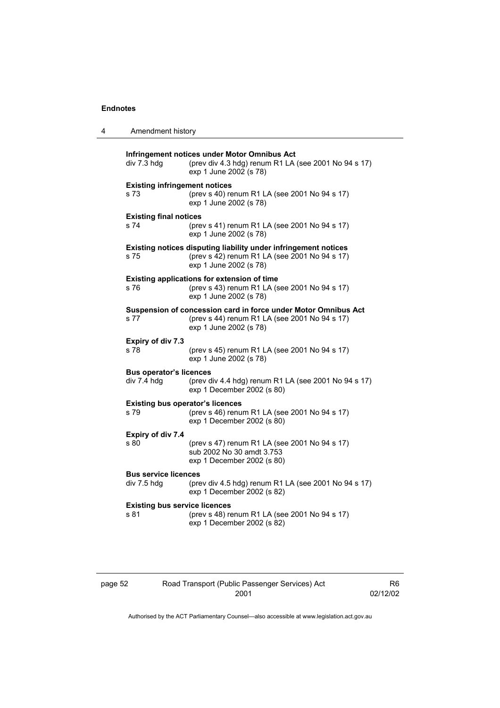| 4 | Amendment history                               |                                                                                                                                            |
|---|-------------------------------------------------|--------------------------------------------------------------------------------------------------------------------------------------------|
|   | div 7.3 hdg                                     | Infringement notices under Motor Omnibus Act<br>(prev div 4.3 hdg) renum R1 LA (see 2001 No 94 s 17)<br>exp 1 June 2002 (s 78)             |
|   | <b>Existing infringement notices</b><br>s 73    | (prev s 40) renum R1 LA (see 2001 No 94 s 17)<br>exp 1 June 2002 (s 78)                                                                    |
|   | <b>Existing final notices</b><br>s 74           | (prev s 41) renum R1 LA (see 2001 No 94 s 17)<br>exp 1 June 2002 (s 78)                                                                    |
|   | s 75                                            | Existing notices disputing liability under infringement notices<br>(prev s 42) renum R1 LA (see 2001 No 94 s 17)<br>exp 1 June 2002 (s 78) |
|   | s 76                                            | Existing applications for extension of time<br>(prev s 43) renum R1 LA (see 2001 No 94 s 17)<br>exp 1 June 2002 (s 78)                     |
|   | s 77                                            | Suspension of concession card in force under Motor Omnibus Act<br>(prev s 44) renum R1 LA (see 2001 No 94 s 17)<br>exp 1 June 2002 (s 78)  |
|   | Expiry of div 7.3<br>s 78                       | (prev s 45) renum R1 LA (see 2001 No 94 s 17)<br>exp 1 June 2002 (s 78)                                                                    |
|   | <b>Bus operator's licences</b><br>div 7.4 hdg   | (prev div 4.4 hdg) renum R1 LA (see 2001 No 94 s 17)<br>exp 1 December 2002 (s 80)                                                         |
|   | <b>Existing bus operator's licences</b><br>s 79 | (prev s 46) renum R1 LA (see 2001 No 94 s 17)<br>exp 1 December 2002 (s 80)                                                                |
|   | Expiry of div 7.4<br>s 80                       | (prev s 47) renum R1 LA (see 2001 No 94 s 17)<br>sub 2002 No 30 amdt 3.753<br>exp 1 December 2002 (s 80)                                   |
|   | <b>Bus service licences</b><br>div 7.5 hdg      | (prev div 4.5 hdg) renum R1 LA (see 2001 No 94 s 17)<br>exp 1 December 2002 (s 82)                                                         |
|   | <b>Existing bus service licences</b><br>s 81    | (prev s 48) renum R1 LA (see 2001 No 94 s 17)<br>exp 1 December 2002 (s 82)                                                                |

| Ю | ıo |  |
|---|----|--|
|   |    |  |

#### Road Transport (Public Passenger Services) Act 2001

R6 02/12/02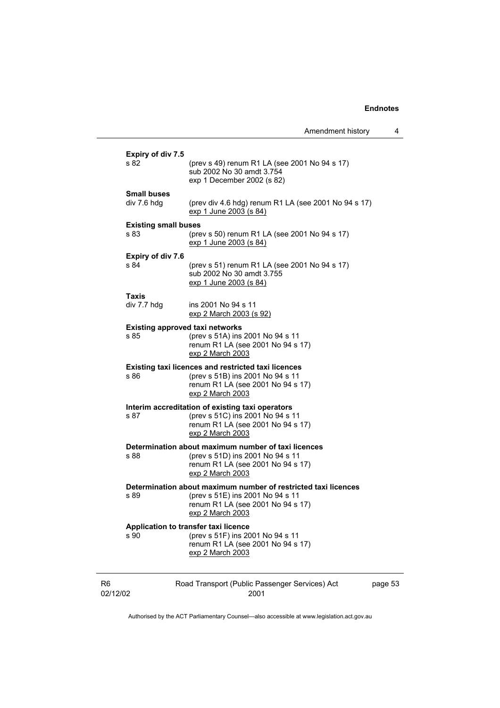| Amendment history |  |
|-------------------|--|
|                   |  |

L

|                            | Expiry of div 7.5<br>s 82                      | (prev s 49) renum R1 LA (see 2001 No 94 s 17)<br>sub 2002 No 30 amdt 3.754<br>exp 1 December 2002 (s 82)                                                    |         |
|----------------------------|------------------------------------------------|-------------------------------------------------------------------------------------------------------------------------------------------------------------|---------|
|                            | <b>Small buses</b><br>div 7.6 hdg              | (prev div 4.6 hdg) renum R1 LA (see 2001 No 94 s 17)<br><u>exp 1 June 2003 (s 84)</u>                                                                       |         |
|                            | <b>Existing small buses</b><br>s 83            | (prev s 50) renum R1 LA (see 2001 No 94 s 17)<br>exp 1 June 2003 (s 84)                                                                                     |         |
|                            | <b>Expiry of div 7.6</b><br>s 84               | (prev s 51) renum R1 LA (see 2001 No 94 s 17)<br>sub 2002 No 30 amdt 3.755<br><u>exp 1 June 2003 (s 84)</u>                                                 |         |
|                            | <b>Taxis</b><br>div 7.7 hdg                    | ins 2001 No 94 s 11<br><u>exp 2 March 2003 (s 92)</u>                                                                                                       |         |
|                            | <b>Existing approved taxi networks</b><br>s 85 | (prev s 51A) ins 2001 No 94 s 11<br>renum R1 LA (see 2001 No 94 s 17)<br>exp 2 March 2003                                                                   |         |
|                            | s 86                                           | <b>Existing taxi licences and restricted taxi licences</b><br>(prev s 51B) ins 2001 No 94 s 11<br>renum R1 LA (see 2001 No 94 s 17)<br>exp 2 March 2003     |         |
|                            | s 87                                           | Interim accreditation of existing taxi operators<br>(prev s 51C) ins 2001 No 94 s 11<br>renum R1 LA (see 2001 No 94 s 17)<br>exp 2 March 2003               |         |
|                            | s 88                                           | Determination about maximum number of taxi licences<br>(prev s 51D) ins 2001 No 94 s 11<br>renum R1 LA (see 2001 No 94 s 17)<br>exp 2 March 2003            |         |
|                            | s 89                                           | Determination about maximum number of restricted taxi licences<br>(prev s 51E) ins 2001 No 94 s 11<br>renum R1 LA (see 2001 No 94 s 17)<br>exp 2 March 2003 |         |
|                            | s 90                                           | Application to transfer taxi licence<br>(prev s 51F) ins 2001 No 94 s 11<br>renum R1 LA (see 2001 No 94 s 17)<br>exp 2 March 2003                           |         |
| R <sub>6</sub><br>02/12/02 |                                                | Road Transport (Public Passenger Services) Act<br>2001                                                                                                      | page 53 |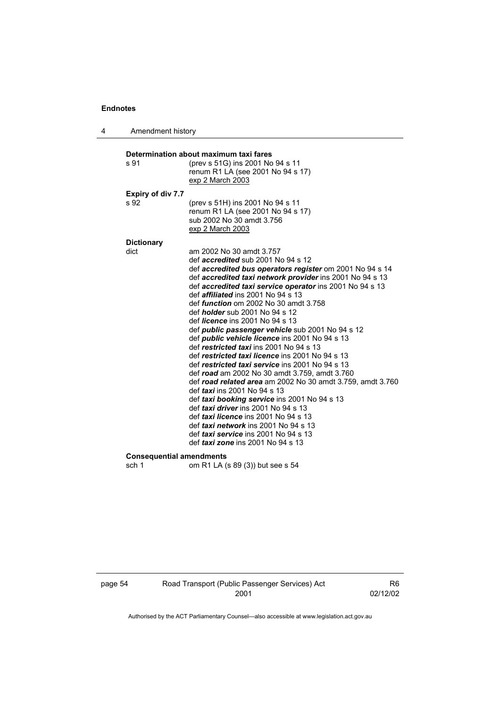4 Amendment history

| s 91                             | (prev s 51G) ins 2001 No 94 s 11<br>renum R1 LA (see 2001 No 94 s 17)<br>exp 2 March 2003        |
|----------------------------------|--------------------------------------------------------------------------------------------------|
|                                  |                                                                                                  |
| <b>Expiry of div 7.7</b><br>s 92 |                                                                                                  |
|                                  | (prev s 51H) ins 2001 No 94 s 11                                                                 |
|                                  | renum R1 LA (see 2001 No 94 s 17)<br>sub 2002 No 30 amdt 3.756                                   |
|                                  | exp 2 March 2003                                                                                 |
|                                  |                                                                                                  |
| <b>Dictionary</b>                |                                                                                                  |
| dict                             | am 2002 No 30 amdt 3.757                                                                         |
|                                  | def <i>accredited</i> sub 2001 No 94 s 12                                                        |
|                                  | def accredited bus operators register om 2001 No 94 s 14                                         |
|                                  | def accredited taxi network provider ins 2001 No 94 s 13                                         |
|                                  | def accredited taxi service operator ins 2001 No 94 s 13                                         |
|                                  | def <i>affiliated</i> ins 2001 No 94 s 13                                                        |
|                                  | def <i>function</i> om 2002 No 30 amdt 3.758                                                     |
|                                  | def <i>holder</i> sub 2001 No 94 s 12<br>def <i>licence</i> ins 2001 No 94 s 13                  |
|                                  |                                                                                                  |
|                                  | def public passenger vehicle sub 2001 No 94 s 12                                                 |
|                                  | def <i>public</i> vehicle licence ins 2001 No 94 s 13<br>def restricted taxi ins 2001 No 94 s 13 |
|                                  | def restricted taxi licence ins 2001 No 94 s 13                                                  |
|                                  | def restricted taxi service ins 2001 No 94 s 13                                                  |
|                                  | def road am 2002 No 30 amdt 3.759, amdt 3.760                                                    |
|                                  | def road related area am 2002 No 30 amdt 3.759, amdt 3.760                                       |
|                                  | def <i>taxi</i> ins 2001 No 94 s 13                                                              |
|                                  | def taxi booking service ins 2001 No 94 s 13                                                     |
|                                  | def taxi driver ins 2001 No 94 s 13                                                              |
|                                  | def taxi licence ins 2001 No 94 s 13                                                             |
|                                  | def taxi network ins 2001 No 94 s 13                                                             |
|                                  | def taxi service ins 2001 No 94 s 13                                                             |
|                                  | def taxi zone ins 2001 No 94 s 13                                                                |
| <b>Consequential amendments</b>  |                                                                                                  |
| sch 1                            | om R1 LA (s 89 (3)) but see s 54                                                                 |
|                                  |                                                                                                  |

page 54 Road Transport (Public Passenger Services) Act 2001

R6 02/12/02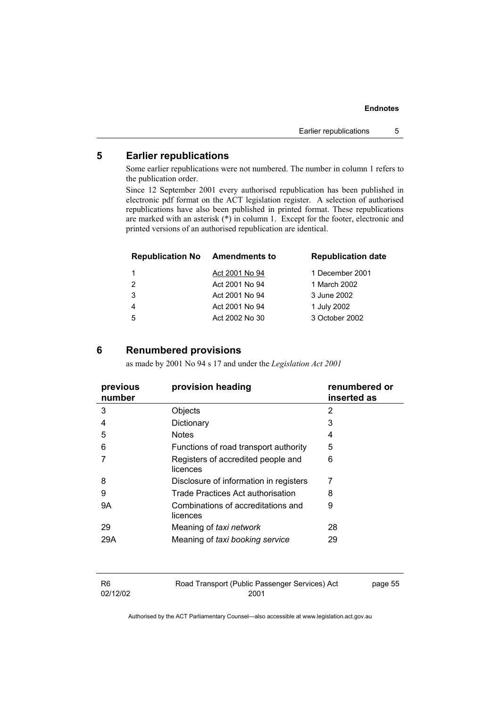#### **5 Earlier republications**

Some earlier republications were not numbered. The number in column 1 refers to the publication order.

Since 12 September 2001 every authorised republication has been published in electronic pdf format on the ACT legislation register. A selection of authorised republications have also been published in printed format. These republications are marked with an asterisk (\*) in column 1. Except for the footer, electronic and printed versions of an authorised republication are identical.

| <b>Republication No Amendments to</b> |                | <b>Republication date</b> |
|---------------------------------------|----------------|---------------------------|
| 1                                     | Act 2001 No 94 | 1 December 2001           |
| $\overline{2}$                        | Act 2001 No 94 | 1 March 2002              |
| 3                                     | Act 2001 No 94 | 3 June 2002               |
| 4                                     | Act 2001 No 94 | 1 July 2002               |
| 5                                     | Act 2002 No 30 | 3 October 2002            |

#### **6 Renumbered provisions**

as made by 2001 No 94 s 17 and under the *Legislation Act 2001* 

| previous<br>number | provision heading                              | renumbered or<br>inserted as |
|--------------------|------------------------------------------------|------------------------------|
| 3                  | Objects                                        | 2                            |
| 4                  | Dictionary                                     | 3                            |
| 5                  | <b>Notes</b>                                   | 4                            |
| 6                  | Functions of road transport authority          | 5                            |
|                    | Registers of accredited people and<br>licences | 6                            |
| 8                  | Disclosure of information in registers         | 7                            |
| 9                  | Trade Practices Act authorisation              | 8                            |
| 9Α                 | Combinations of accreditations and<br>licences | 9                            |
| 29                 | Meaning of taxi network                        | 28                           |
| 29A                | Meaning of taxi booking service                | 29                           |
|                    |                                                |                              |

| -R6      | Road Transport (Public Passenger Services) Act | page 55 |
|----------|------------------------------------------------|---------|
| 02/12/02 | 2001                                           |         |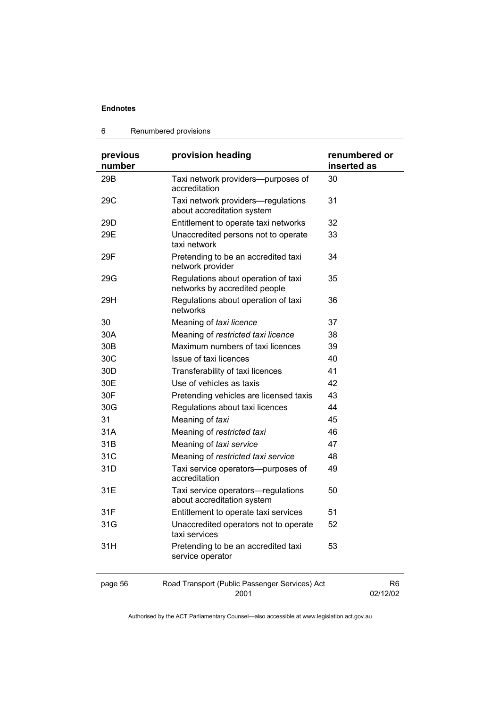#### 6 Renumbered provisions

| previous<br>number | provision heading                                                    | renumbered or<br>inserted as |
|--------------------|----------------------------------------------------------------------|------------------------------|
| 29B                | Taxi network providers--purposes of<br>accreditation                 | 30                           |
| 29C                | Taxi network providers—regulations<br>about accreditation system     | 31                           |
| 29 <sub>D</sub>    | Entitlement to operate taxi networks                                 | 32                           |
| 29E                | Unaccredited persons not to operate<br>taxi network                  | 33                           |
| 29F                | Pretending to be an accredited taxi<br>network provider              | 34                           |
| 29G                | Regulations about operation of taxi<br>networks by accredited people | 35                           |
| 29H                | Regulations about operation of taxi<br>networks                      | 36                           |
| 30                 | Meaning of taxi licence                                              | 37                           |
| 30A                | Meaning of restricted taxi licence                                   | 38                           |
| 30 <sub>B</sub>    | Maximum numbers of taxi licences                                     | 39                           |
| 30C                | Issue of taxi licences                                               | 40                           |
| 30 <sub>D</sub>    | Transferability of taxi licences                                     | 41                           |
| 30E                | Use of vehicles as taxis                                             | 42                           |
| 30F                | Pretending vehicles are licensed taxis                               | 43                           |
| 30G                | Regulations about taxi licences                                      | 44                           |
| 31                 | Meaning of taxi                                                      | 45                           |
| 31A                | Meaning of restricted taxi                                           | 46                           |
| 31B                | Meaning of taxi service                                              | 47                           |
| 31C                | Meaning of restricted taxi service                                   | 48                           |
| 31D                | Taxi service operators--purposes of<br>accreditation                 | 49                           |
| 31E                | Taxi service operators-regulations<br>about accreditation system     | 50                           |
| 31F                | Entitlement to operate taxi services                                 | 51                           |
| 31G                | Unaccredited operators not to operate<br>taxi services               | 52                           |
| 31H                | Pretending to be an accredited taxi<br>service operator              | 53                           |
| page 56            | Road Transport (Public Passenger Services) Act<br>2001               | R <sub>6</sub><br>02/12/02   |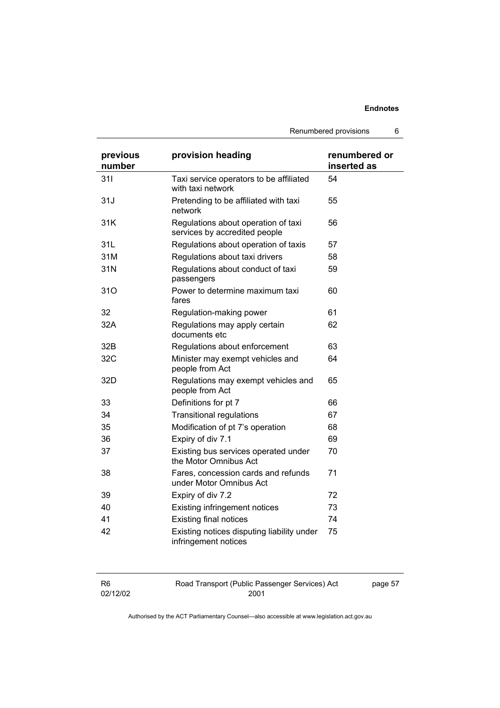Renumbered provisions 6

| previous<br>number | provision heading                                                    | renumbered or<br>inserted as |
|--------------------|----------------------------------------------------------------------|------------------------------|
| 311                | Taxi service operators to be affiliated<br>with taxi network         | 54                           |
| 31J                | Pretending to be affiliated with taxi<br>network                     | 55                           |
| 31K                | Regulations about operation of taxi<br>services by accredited people | 56                           |
| 31L                | Regulations about operation of taxis                                 | 57                           |
| 31M                | Regulations about taxi drivers                                       | 58                           |
| 31N                | Regulations about conduct of taxi<br>passengers                      | 59                           |
| 310                | Power to determine maximum taxi<br>fares                             | 60                           |
| 32                 | Regulation-making power                                              | 61                           |
| 32A                | Regulations may apply certain<br>documents etc                       | 62                           |
| 32B                | Regulations about enforcement                                        | 63                           |
| 32C                | Minister may exempt vehicles and<br>people from Act                  | 64                           |
| 32D                | Regulations may exempt vehicles and<br>people from Act               | 65                           |
| 33                 | Definitions for pt 7                                                 | 66                           |
| 34                 | <b>Transitional regulations</b>                                      | 67                           |
| 35                 | Modification of pt 7's operation                                     | 68                           |
| 36                 | Expiry of div 7.1                                                    | 69                           |
| 37                 | Existing bus services operated under<br>the Motor Omnibus Act        | 70                           |
| 38                 | Fares, concession cards and refunds<br>under Motor Omnibus Act       | 71                           |
| 39                 | Expiry of div 7.2                                                    | 72                           |
| 40                 | <b>Existing infringement notices</b>                                 | 73                           |
| 41                 | <b>Existing final notices</b>                                        | 74                           |
| 42                 | Existing notices disputing liability under<br>infringement notices   | 75                           |

| R6       | Road Transport (Public Passenger Services) Act | page 57 |
|----------|------------------------------------------------|---------|
| 02/12/02 | 2001                                           |         |